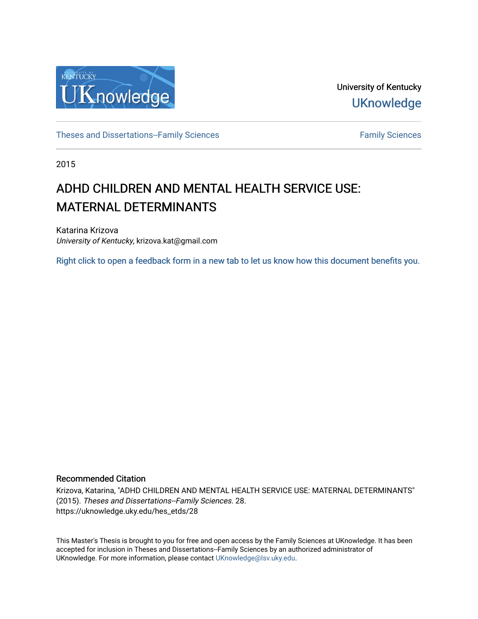

University of Kentucky **UKnowledge** 

[Theses and Dissertations--Family Sciences](https://uknowledge.uky.edu/hes_etds) [Family Sciences](https://uknowledge.uky.edu/hes) Family Sciences

2015

# ADHD CHILDREN AND MENTAL HEALTH SERVICE USE: MATERNAL DETERMINANTS

Katarina Krizova University of Kentucky, krizova.kat@gmail.com

[Right click to open a feedback form in a new tab to let us know how this document benefits you.](https://uky.az1.qualtrics.com/jfe/form/SV_9mq8fx2GnONRfz7)

#### Recommended Citation

Krizova, Katarina, "ADHD CHILDREN AND MENTAL HEALTH SERVICE USE: MATERNAL DETERMINANTS" (2015). Theses and Dissertations--Family Sciences. 28. https://uknowledge.uky.edu/hes\_etds/28

This Master's Thesis is brought to you for free and open access by the Family Sciences at UKnowledge. It has been accepted for inclusion in Theses and Dissertations--Family Sciences by an authorized administrator of UKnowledge. For more information, please contact [UKnowledge@lsv.uky.edu](mailto:UKnowledge@lsv.uky.edu).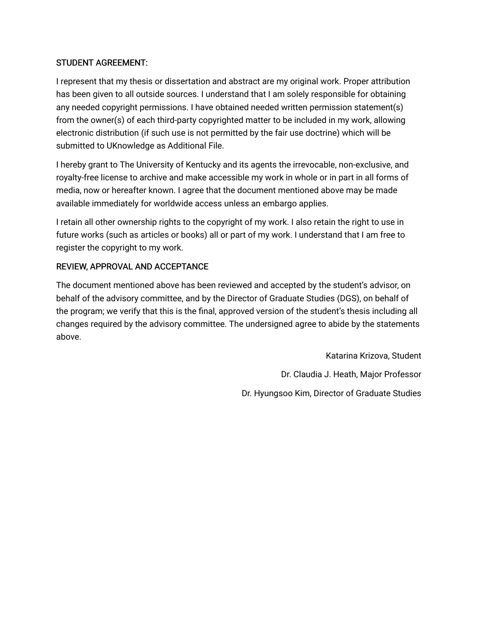# STUDENT AGREEMENT:

I represent that my thesis or dissertation and abstract are my original work. Proper attribution has been given to all outside sources. I understand that I am solely responsible for obtaining any needed copyright permissions. I have obtained needed written permission statement(s) from the owner(s) of each third-party copyrighted matter to be included in my work, allowing electronic distribution (if such use is not permitted by the fair use doctrine) which will be submitted to UKnowledge as Additional File.

I hereby grant to The University of Kentucky and its agents the irrevocable, non-exclusive, and royalty-free license to archive and make accessible my work in whole or in part in all forms of media, now or hereafter known. I agree that the document mentioned above may be made available immediately for worldwide access unless an embargo applies.

I retain all other ownership rights to the copyright of my work. I also retain the right to use in future works (such as articles or books) all or part of my work. I understand that I am free to register the copyright to my work.

# REVIEW, APPROVAL AND ACCEPTANCE

The document mentioned above has been reviewed and accepted by the student's advisor, on behalf of the advisory committee, and by the Director of Graduate Studies (DGS), on behalf of the program; we verify that this is the final, approved version of the student's thesis including all changes required by the advisory committee. The undersigned agree to abide by the statements above.

> Katarina Krizova, Student Dr. Claudia J. Heath, Major Professor Dr. Hyungsoo Kim, Director of Graduate Studies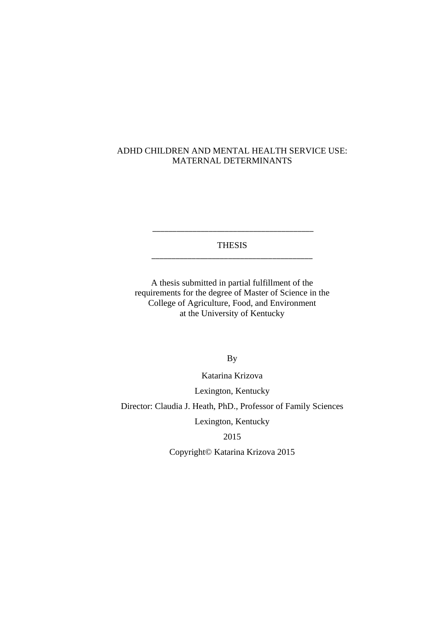## ADHD CHILDREN AND MENTAL HEALTH SERVICE USE: MATERNAL DETERMINANTS

THESIS \_\_\_\_\_\_\_\_\_\_\_\_\_\_\_\_\_\_\_\_\_\_\_\_\_\_\_\_\_\_\_\_\_\_\_\_\_\_\_\_

\_\_\_\_\_\_\_\_\_\_\_\_\_\_\_\_\_\_\_\_\_\_\_\_\_\_\_\_\_\_\_\_\_\_\_\_\_\_\_\_

A thesis submitted in partial fulfillment of the requirements for the degree of Master of Science in the College of Agriculture, Food, and Environment at the University of Kentucky

By

Katarina Krizova

Lexington, Kentucky

Director: Claudia J. Heath, PhD., Professor of Family Sciences

Lexington, Kentucky

2015

Copyright© Katarina Krizova 2015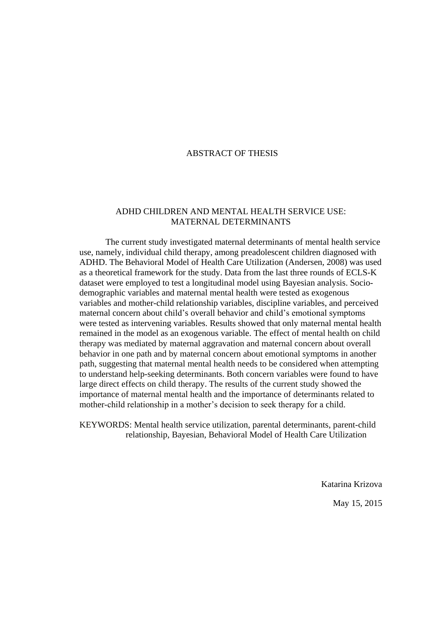## ABSTRACT OF THESIS

### ADHD CHILDREN AND MENTAL HEALTH SERVICE USE: MATERNAL DETERMINANTS

The current study investigated maternal determinants of mental health service use, namely, individual child therapy, among preadolescent children diagnosed with ADHD. The Behavioral Model of Health Care Utilization (Andersen, 2008) was used as a theoretical framework for the study. Data from the last three rounds of ECLS-K dataset were employed to test a longitudinal model using Bayesian analysis. Sociodemographic variables and maternal mental health were tested as exogenous variables and mother-child relationship variables, discipline variables, and perceived maternal concern about child's overall behavior and child's emotional symptoms were tested as intervening variables. Results showed that only maternal mental health remained in the model as an exogenous variable. The effect of mental health on child therapy was mediated by maternal aggravation and maternal concern about overall behavior in one path and by maternal concern about emotional symptoms in another path, suggesting that maternal mental health needs to be considered when attempting to understand help-seeking determinants. Both concern variables were found to have large direct effects on child therapy. The results of the current study showed the importance of maternal mental health and the importance of determinants related to mother-child relationship in a mother's decision to seek therapy for a child.

KEYWORDS: Mental health service utilization, parental determinants, parent-child relationship, Bayesian, Behavioral Model of Health Care Utilization

> Katarina Krizova May 15, 2015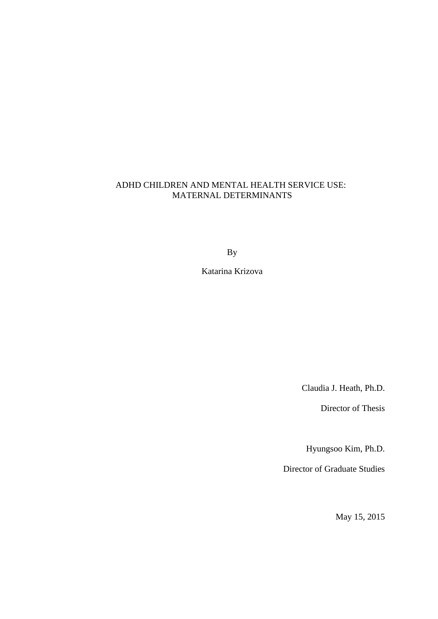# ADHD CHILDREN AND MENTAL HEALTH SERVICE USE: MATERNAL DETERMINANTS

By

Katarina Krizova

Claudia J. Heath, Ph.D.

Director of Thesis

Hyungsoo Kim, Ph.D.

Director of Graduate Studies

May 15, 2015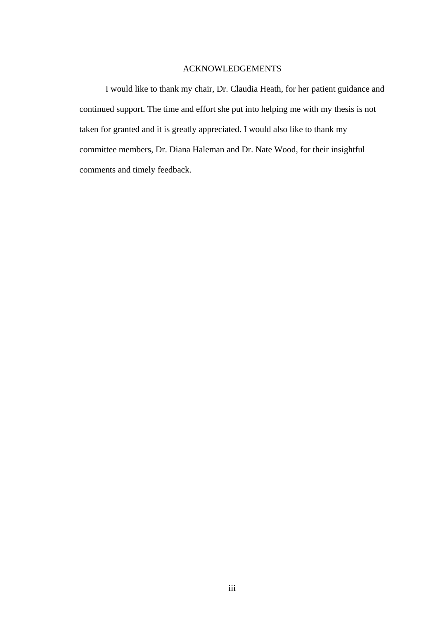## ACKNOWLEDGEMENTS

<span id="page-5-0"></span>I would like to thank my chair, Dr. Claudia Heath, for her patient guidance and continued support. The time and effort she put into helping me with my thesis is not taken for granted and it is greatly appreciated. I would also like to thank my committee members, Dr. Diana Haleman and Dr. Nate Wood, for their insightful comments and timely feedback.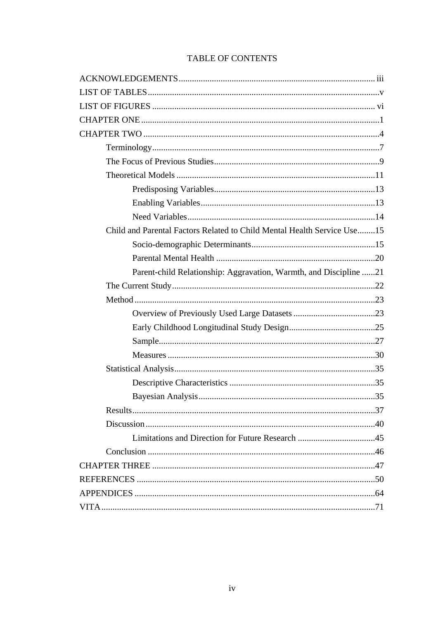# TABLE OF CONTENTS

| Child and Parental Factors Related to Child Mental Health Service Use15 |
|-------------------------------------------------------------------------|
|                                                                         |
|                                                                         |
| Parent-child Relationship: Aggravation, Warmth, and Discipline 21       |
|                                                                         |
|                                                                         |
|                                                                         |
|                                                                         |
|                                                                         |
|                                                                         |
|                                                                         |
|                                                                         |
|                                                                         |
|                                                                         |
|                                                                         |
|                                                                         |
|                                                                         |
|                                                                         |
|                                                                         |
|                                                                         |
|                                                                         |
|                                                                         |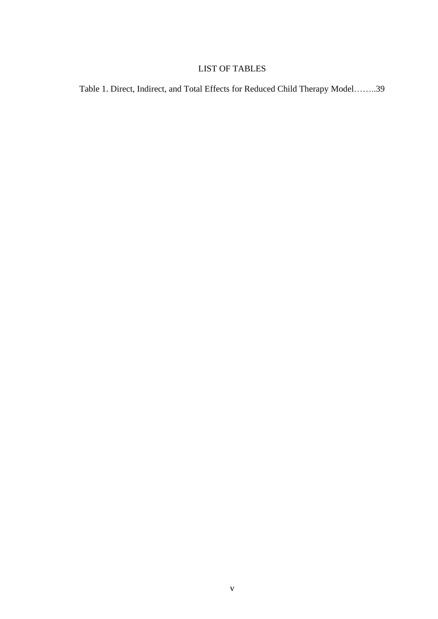# LIST OF TABLES

<span id="page-7-0"></span>Table 1. Direct, Indirect, and Total Effects for Reduced Child Therapy Model……..39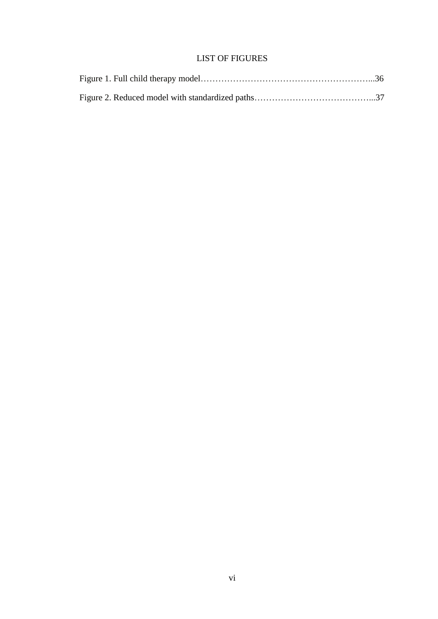# LIST OF FIGURES

<span id="page-8-0"></span>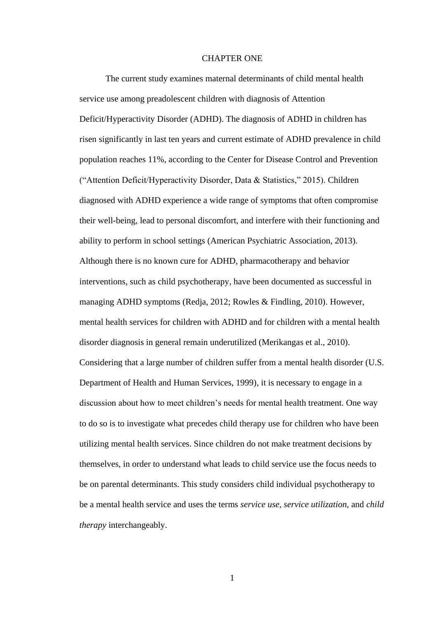#### CHAPTER ONE

<span id="page-9-0"></span>The current study examines maternal determinants of child mental health service use among preadolescent children with diagnosis of Attention Deficit/Hyperactivity Disorder (ADHD). The diagnosis of ADHD in children has risen significantly in last ten years and current estimate of ADHD prevalence in child population reaches 11%, according to the Center for Disease Control and Prevention ("Attention Deficit/Hyperactivity Disorder, Data & Statistics," 2015). Children diagnosed with ADHD experience a wide range of symptoms that often compromise their well-being, lead to personal discomfort, and interfere with their functioning and ability to perform in school settings (American Psychiatric Association, 2013). Although there is no known cure for ADHD, pharmacotherapy and behavior interventions, such as child psychotherapy, have been documented as successful in managing ADHD symptoms (Redja, 2012; Rowles & Findling, 2010). However, mental health services for children with ADHD and for children with a mental health disorder diagnosis in general remain underutilized (Merikangas et al., 2010). Considering that a large number of children suffer from a mental health disorder (U.S. Department of Health and Human Services, 1999), it is necessary to engage in a discussion about how to meet children's needs for mental health treatment. One way to do so is to investigate what precedes child therapy use for children who have been utilizing mental health services. Since children do not make treatment decisions by themselves, in order to understand what leads to child service use the focus needs to be on parental determinants. This study considers child individual psychotherapy to be a mental health service and uses the terms *service use, service utilization,* and *child therapy* interchangeably.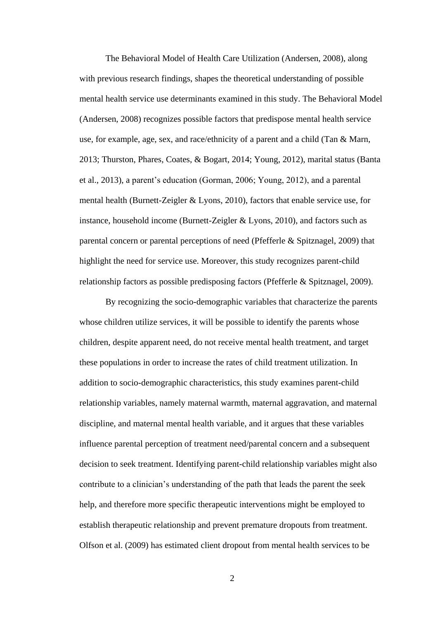The Behavioral Model of Health Care Utilization (Andersen, 2008), along with previous research findings, shapes the theoretical understanding of possible mental health service use determinants examined in this study. The Behavioral Model (Andersen, 2008) recognizes possible factors that predispose mental health service use, for example, age, sex, and race/ethnicity of a parent and a child (Tan & Marn, 2013; Thurston, Phares, Coates, & Bogart, 2014; Young, 2012), marital status (Banta et al., 2013), a parent's education (Gorman, 2006; Young, 2012), and a parental mental health (Burnett-Zeigler & Lyons, 2010), factors that enable service use, for instance, household income (Burnett-Zeigler & Lyons, 2010), and factors such as parental concern or parental perceptions of need (Pfefferle & Spitznagel, 2009) that highlight the need for service use. Moreover, this study recognizes parent-child relationship factors as possible predisposing factors (Pfefferle & Spitznagel, 2009).

By recognizing the socio-demographic variables that characterize the parents whose children utilize services, it will be possible to identify the parents whose children, despite apparent need, do not receive mental health treatment, and target these populations in order to increase the rates of child treatment utilization. In addition to socio-demographic characteristics, this study examines parent-child relationship variables, namely maternal warmth, maternal aggravation, and maternal discipline, and maternal mental health variable, and it argues that these variables influence parental perception of treatment need/parental concern and a subsequent decision to seek treatment. Identifying parent-child relationship variables might also contribute to a clinician's understanding of the path that leads the parent the seek help, and therefore more specific therapeutic interventions might be employed to establish therapeutic relationship and prevent premature dropouts from treatment. Olfson et al. (2009) has estimated client dropout from mental health services to be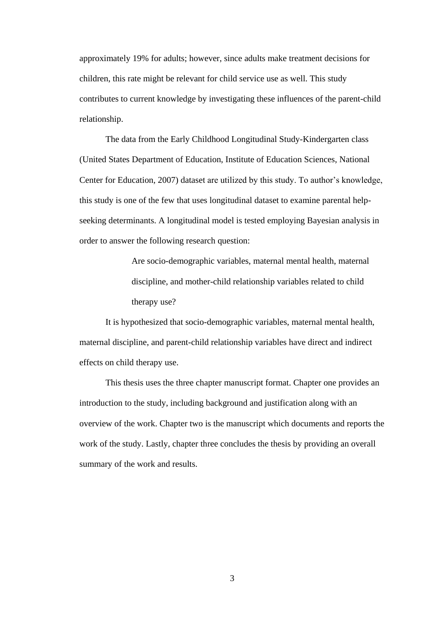approximately 19% for adults; however, since adults make treatment decisions for children, this rate might be relevant for child service use as well. This study contributes to current knowledge by investigating these influences of the parent-child relationship.

The data from the Early Childhood Longitudinal Study-Kindergarten class [\(United States Department of Education, Institute of Education Sciences, National](#page-58-1)  [Center for Education, 200](#page-58-1)7) dataset are utilized by this study. To author's knowledge, this study is one of the few that uses longitudinal dataset to examine parental helpseeking determinants. A longitudinal model is tested employing Bayesian analysis in order to answer the following research question:

> Are socio-demographic variables, maternal mental health, maternal discipline, and mother-child relationship variables related to child therapy use?

It is hypothesized that socio-demographic variables, maternal mental health, maternal discipline, and parent-child relationship variables have direct and indirect effects on child therapy use.

This thesis uses the three chapter manuscript format. Chapter one provides an introduction to the study, including background and justification along with an overview of the work. Chapter two is the manuscript which documents and reports the work of the study. Lastly, chapter three concludes the thesis by providing an overall summary of the work and results.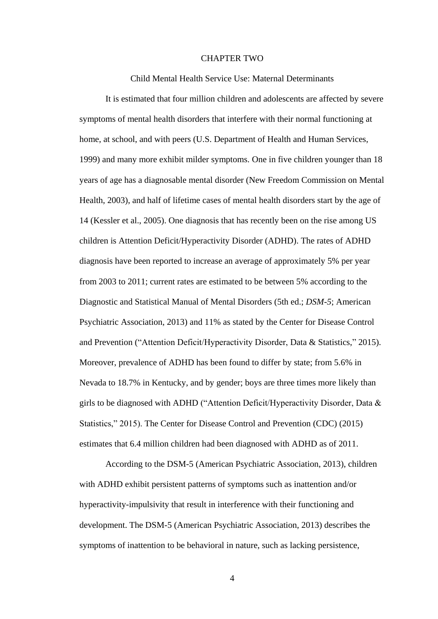#### CHAPTER TWO

Child Mental Health Service Use: Maternal Determinants

<span id="page-12-0"></span>It is estimated that four million children and adolescents are affected by severe symptoms of mental health disorders that interfere with their normal functioning at home, at school, and with peers (U.S. Department of Health and Human Services, 1999) and many more exhibit milder symptoms. One in five children younger than 18 years of age has a diagnosable mental disorder (New Freedom Commission on Mental Health, 2003), and half of lifetime cases of mental health disorders start by the age of 14 (Kessler et al., 2005). One diagnosis that has recently been on the rise among US children is Attention Deficit/Hyperactivity Disorder (ADHD). The rates of ADHD diagnosis have been reported to increase an average of approximately 5% per year from 2003 to 2011; current rates are estimated to be between 5% according to the Diagnostic and Statistical Manual of Mental Disorders (5th ed.; *DSM-5*; American Psychiatric Association, 2013) and 11% as stated by the Center for Disease Control and Prevention ("Attention Deficit/Hyperactivity Disorder, Data & Statistics," 2015). Moreover, prevalence of ADHD has been found to differ by state; from 5.6% in Nevada to 18.7% in Kentucky, and by gender; boys are three times more likely than girls to be diagnosed with ADHD ("Attention Deficit/Hyperactivity Disorder, Data & Statistics," 2015). The Center for Disease Control and Prevention (CDC) (2015) estimates that 6.4 million children had been diagnosed with ADHD as of 2011.

According to the DSM-5 (American Psychiatric Association, 2013), children with ADHD exhibit persistent patterns of symptoms such as inattention and/or hyperactivity-impulsivity that result in interference with their functioning and development. The DSM-5 (American Psychiatric Association, 2013) describes the symptoms of inattention to be behavioral in nature, such as lacking persistence,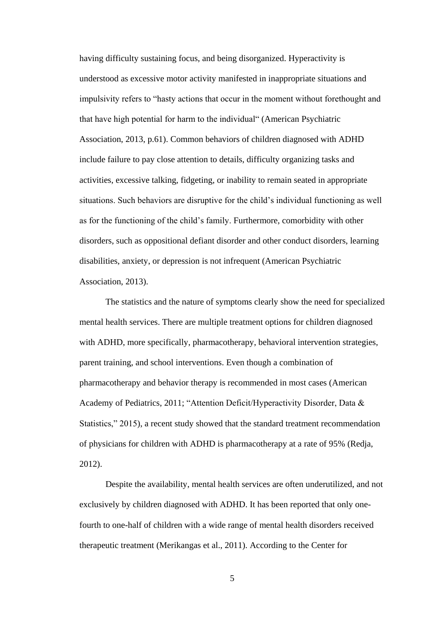having difficulty sustaining focus, and being disorganized. Hyperactivity is understood as excessive motor activity manifested in inappropriate situations and impulsivity refers to "hasty actions that occur in the moment without forethought and that have high potential for harm to the individual" (American Psychiatric Association, 2013, p.61). Common behaviors of children diagnosed with ADHD include failure to pay close attention to details, difficulty organizing tasks and activities, excessive talking, fidgeting, or inability to remain seated in appropriate situations. Such behaviors are disruptive for the child's individual functioning as well as for the functioning of the child's family. Furthermore, comorbidity with other disorders, such as oppositional defiant disorder and other conduct disorders, learning disabilities, anxiety, or depression is not infrequent (American Psychiatric Association, 2013).

The statistics and the nature of symptoms clearly show the need for specialized mental health services. There are multiple treatment options for children diagnosed with ADHD, more specifically, pharmacotherapy, behavioral intervention strategies, parent training, and school interventions. Even though a combination of pharmacotherapy and behavior therapy is recommended in most cases (American Academy of Pediatrics, 2011; "Attention Deficit/Hyperactivity Disorder, Data & Statistics," 2015), a recent study showed that the standard treatment recommendation of physicians for children with ADHD is pharmacotherapy at a rate of 95% (Redja, 2012).

Despite the availability, mental health services are often underutilized, and not exclusively by children diagnosed with ADHD. It has been reported that only onefourth to one-half of children with a wide range of mental health disorders received therapeutic treatment (Merikangas et al., 2011). According to the Center for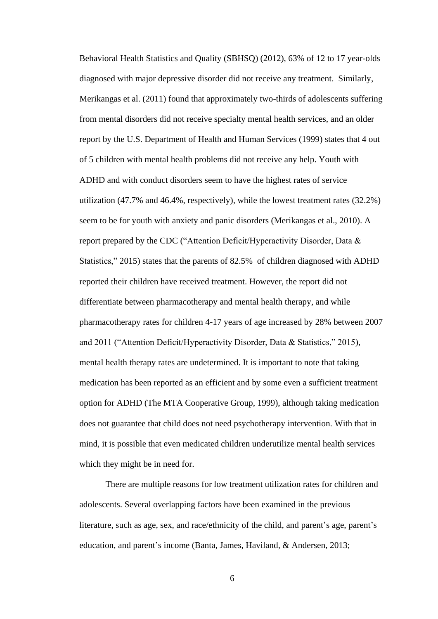Behavioral Health Statistics and Quality (SBHSQ) (2012), 63% of 12 to 17 year-olds diagnosed with major depressive disorder did not receive any treatment. Similarly, Merikangas et al. (2011) found that approximately two-thirds of adolescents suffering from mental disorders did not receive specialty mental health services, and an older report by the U.S. Department of Health and Human Services (1999) states that 4 out of 5 children with mental health problems did not receive any help. Youth with ADHD and with conduct disorders seem to have the highest rates of service utilization (47.7% and 46.4%, respectively), while the lowest treatment rates (32.2%) seem to be for youth with anxiety and panic disorders (Merikangas et al., 2010). A report prepared by the CDC ("Attention Deficit/Hyperactivity Disorder, Data & Statistics," 2015) states that the parents of 82.5% of children diagnosed with ADHD reported their children have received treatment. However, the report did not differentiate between pharmacotherapy and mental health therapy, and while pharmacotherapy rates for children 4-17 years of age increased by 28% between 2007 and 2011 ("Attention Deficit/Hyperactivity Disorder, Data & Statistics," 2015), mental health therapy rates are undetermined. It is important to note that taking medication has been reported as an efficient and by some even a sufficient treatment option for ADHD (The MTA Cooperative Group, 1999), although taking medication does not guarantee that child does not need psychotherapy intervention. With that in mind, it is possible that even medicated children underutilize mental health services which they might be in need for.

There are multiple reasons for low treatment utilization rates for children and adolescents. Several overlapping factors have been examined in the previous literature, such as age, sex, and race/ethnicity of the child, and parent's age, parent's education, and parent's income (Banta, James, Haviland, & Andersen, 2013;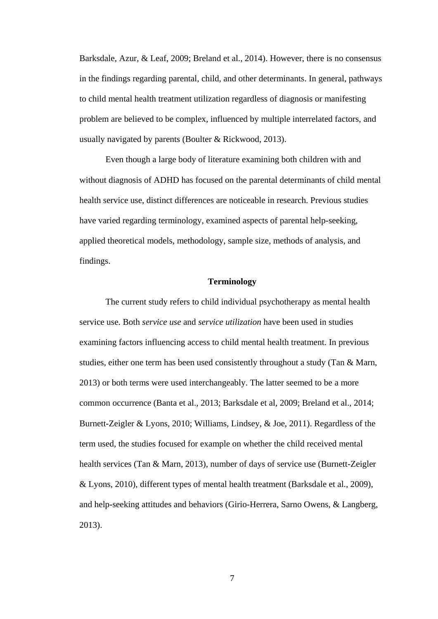Barksdale, Azur, & Leaf, 2009; Breland et al., 2014). However, there is no consensus in the findings regarding parental, child, and other determinants. In general, pathways to child mental health treatment utilization regardless of diagnosis or manifesting problem are believed to be complex, influenced by multiple interrelated factors, and usually navigated by parents (Boulter & Rickwood, 2013).

Even though a large body of literature examining both children with and without diagnosis of ADHD has focused on the parental determinants of child mental health service use, distinct differences are noticeable in research. Previous studies have varied regarding terminology, examined aspects of parental help-seeking, applied theoretical models, methodology, sample size, methods of analysis, and findings.

#### **Terminology**

<span id="page-15-0"></span>The current study refers to child individual psychotherapy as mental health service use. Both *service use* and *service utilization* have been used in studies examining factors influencing access to child mental health treatment. In previous studies, either one term has been used consistently throughout a study (Tan & Marn, 2013) or both terms were used interchangeably. The latter seemed to be a more common occurrence (Banta et al., 2013; Barksdale et al, 2009; Breland et al., 2014; Burnett-Zeigler & Lyons, 2010; Williams, Lindsey, & Joe, 2011). Regardless of the term used, the studies focused for example on whether the child received mental health services (Tan & Marn, 2013), number of days of service use (Burnett-Zeigler & Lyons, 2010), different types of mental health treatment (Barksdale et al., 2009), and help-seeking attitudes and behaviors (Girio-Herrera, Sarno Owens, & Langberg, 2013).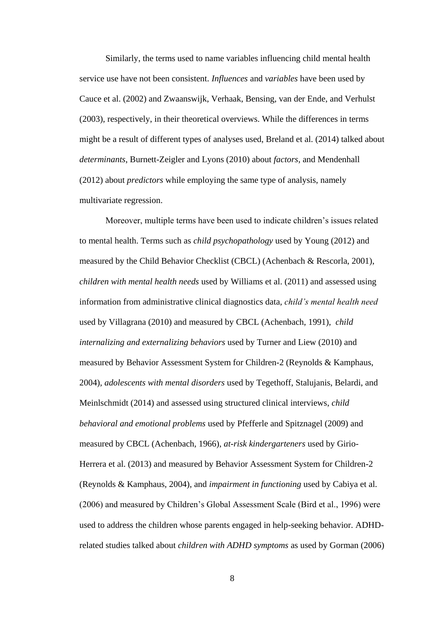Similarly, the terms used to name variables influencing child mental health service use have not been consistent. *Influences* and *variables* have been used by Cauce et al. (2002) and Zwaanswijk, Verhaak, Bensing, van der Ende, and Verhulst (2003), respectively, in their theoretical overviews. While the differences in terms might be a result of different types of analyses used, Breland et al. (2014) talked about *determinants*, Burnett-Zeigler and Lyons (2010) about *factors*, and Mendenhall (2012) about *predictors* while employing the same type of analysis, namely multivariate regression.

Moreover, multiple terms have been used to indicate children's issues related to mental health. Terms such as *child psychopathology* used by Young (2012) and measured by the Child Behavior Checklist (CBCL) (Achenbach & Rescorla, 2001), *children with mental health needs* used by Williams et al. (2011) and assessed using information from administrative clinical diagnostics data, *child's mental health need* used by Villagrana (2010) and measured by CBCL (Achenbach, 1991), *child internalizing and externalizing behaviors* used by Turner and Liew (2010) and measured by Behavior Assessment System for Children-2 (Reynolds & Kamphaus, 2004), *adolescents with mental disorders* used by Tegethoff, Stalujanis, Belardi, and Meinlschmidt (2014) and assessed using structured clinical interviews, *child behavioral and emotional problems* used by Pfefferle and Spitznagel (2009) and measured by CBCL (Achenbach, 1966), *at-risk kindergarteners* used by Girio-Herrera et al. (2013) and measured by Behavior Assessment System for Children-2 (Reynolds & Kamphaus, 2004), and *impairment in functioning* used by Cabiya et al. (2006) and measured by Children's Global Assessment Scale (Bird et al., 1996) were used to address the children whose parents engaged in help-seeking behavior. ADHDrelated studies talked about *children with ADHD symptoms* as used by Gorman (2006)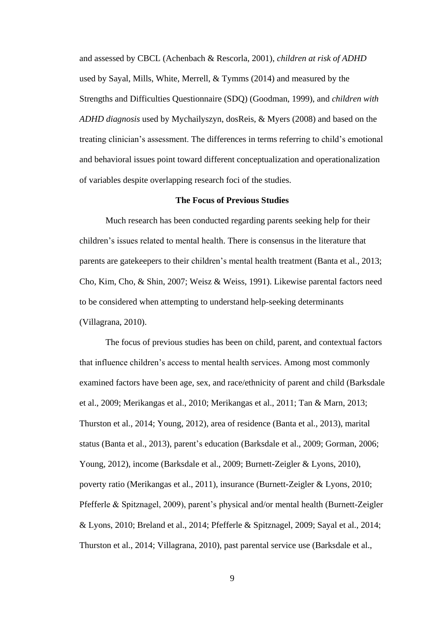and assessed by CBCL (Achenbach & Rescorla, 2001), *children at risk of ADHD*  used by Sayal, Mills, White, Merrell, & Tymms (2014) and measured by the Strengths and Difficulties Questionnaire (SDQ) (Goodman, 1999), and *children with ADHD diagnosis* used by Mychailyszyn, dosReis, & Myers (2008) and based on the treating clinician's assessment. The differences in terms referring to child's emotional and behavioral issues point toward different conceptualization and operationalization of variables despite overlapping research foci of the studies.

#### **The Focus of Previous Studies**

<span id="page-17-0"></span>Much research has been conducted regarding parents seeking help for their children's issues related to mental health. There is consensus in the literature that parents are gatekeepers to their children's mental health treatment (Banta et al., 2013; Cho, Kim, Cho, & Shin, 2007; Weisz & Weiss, 1991). Likewise parental factors need to be considered when attempting to understand help-seeking determinants (Villagrana, 2010).

The focus of previous studies has been on child, parent, and contextual factors that influence children's access to mental health services. Among most commonly examined factors have been age, sex, and race/ethnicity of parent and child (Barksdale et al., 2009; Merikangas et al., 2010; Merikangas et al., 2011; Tan & Marn, 2013; Thurston et al., 2014; Young, 2012), area of residence (Banta et al., 2013), marital status (Banta et al., 2013), parent's education (Barksdale et al., 2009; Gorman, 2006; Young, 2012), income (Barksdale et al., 2009; Burnett-Zeigler & Lyons, 2010), poverty ratio (Merikangas et al., 2011), insurance (Burnett-Zeigler & Lyons, 2010; Pfefferle & Spitznagel, 2009), parent's physical and/or mental health (Burnett-Zeigler & Lyons, 2010; Breland et al., 2014; Pfefferle & Spitznagel, 2009; Sayal et al., 2014; Thurston et al., 2014; Villagrana, 2010), past parental service use (Barksdale et al.,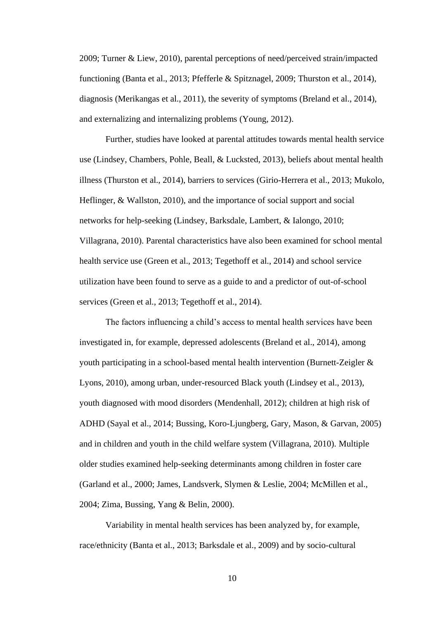2009; Turner & Liew, 2010), parental perceptions of need/perceived strain/impacted functioning (Banta et al., 2013; Pfefferle & Spitznagel, 2009; Thurston et al., 2014), diagnosis (Merikangas et al., 2011), the severity of symptoms (Breland et al., 2014), and externalizing and internalizing problems (Young, 2012).

Further, studies have looked at parental attitudes towards mental health service use (Lindsey, Chambers, Pohle, Beall, & Lucksted, 2013), beliefs about mental health illness (Thurston et al., 2014), barriers to services (Girio-Herrera et al., 2013; Mukolo, Heflinger, & Wallston, 2010), and the importance of social support and social networks for help-seeking (Lindsey, Barksdale, Lambert, & Ialongo, 2010; Villagrana, 2010). Parental characteristics have also been examined for school mental health service use (Green et al., 2013; Tegethoff et al., 2014) and school service utilization have been found to serve as a guide to and a predictor of out-of-school services (Green et al., 2013; Tegethoff et al., 2014).

The factors influencing a child's access to mental health services have been investigated in, for example, depressed adolescents (Breland et al., 2014), among youth participating in a school-based mental health intervention (Burnett-Zeigler & Lyons, 2010), among urban, under-resourced Black youth (Lindsey et al., 2013), youth diagnosed with mood disorders (Mendenhall, 2012); children at high risk of ADHD (Sayal et al., 2014; Bussing, Koro-Ljungberg, Gary, Mason, & Garvan, 2005) and in children and youth in the child welfare system (Villagrana, 2010). Multiple older studies examined help-seeking determinants among children in foster care (Garland et al., 2000; James, Landsverk, Slymen & Leslie, 2004; McMillen et al., 2004; Zima, Bussing, Yang & Belin, 2000).

Variability in mental health services has been analyzed by, for example, race/ethnicity (Banta et al., 2013; Barksdale et al., 2009) and by socio-cultural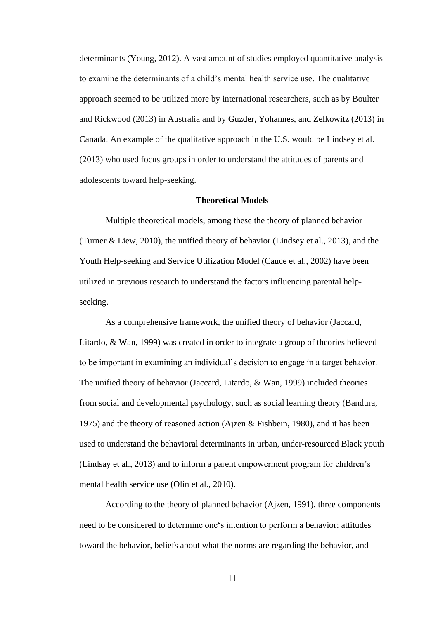determinants (Young, 2012). A vast amount of studies employed quantitative analysis to examine the determinants of a child's mental health service use. The qualitative approach seemed to be utilized more by international researchers, such as by Boulter and Rickwood (2013) in Australia and by Guzder, Yohannes, and Zelkowitz (2013) in Canada. An example of the qualitative approach in the U.S. would be Lindsey et al. (2013) who used focus groups in order to understand the attitudes of parents and adolescents toward help-seeking.

#### **Theoretical Models**

<span id="page-19-0"></span>Multiple theoretical models, among these the theory of planned behavior (Turner & Liew, 2010), the unified theory of behavior (Lindsey et al., 2013), and the Youth Help-seeking and Service Utilization Model (Cauce et al., 2002) have been utilized in previous research to understand the factors influencing parental helpseeking.

As a comprehensive framework, the unified theory of behavior (Jaccard, Litardo, & Wan, 1999) was created in order to integrate a group of theories believed to be important in examining an individual's decision to engage in a target behavior. The unified theory of behavior (Jaccard, Litardo, & Wan, 1999) included theories from social and developmental psychology, such as social learning theory (Bandura, 1975) and the theory of reasoned action (Ajzen & Fishbein, 1980), and it has been used to understand the behavioral determinants in urban, under-resourced Black youth (Lindsay et al., 2013) and to inform a parent empowerment program for children's mental health service use (Olin et al., 2010).

According to the theory of planned behavior (Ajzen, 1991), three components need to be considered to determine one's intention to perform a behavior: attitudes toward the behavior, beliefs about what the norms are regarding the behavior, and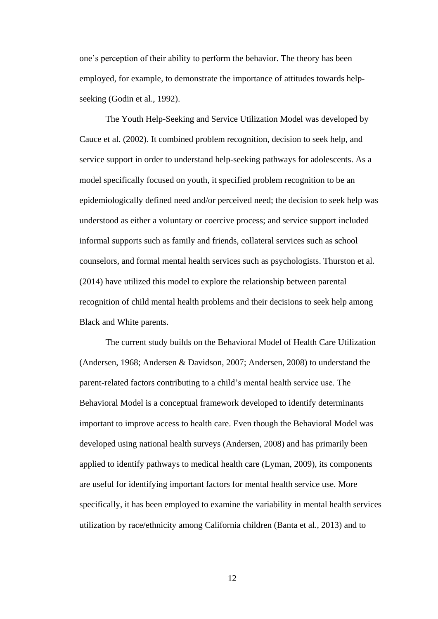one's perception of their ability to perform the behavior. The theory has been employed, for example, to demonstrate the importance of attitudes towards helpseeking (Godin et al., 1992).

The Youth Help-Seeking and Service Utilization Model was developed by Cauce et al. (2002). It combined problem recognition, decision to seek help, and service support in order to understand help-seeking pathways for adolescents. As a model specifically focused on youth, it specified problem recognition to be an epidemiologically defined need and/or perceived need; the decision to seek help was understood as either a voluntary or coercive process; and service support included informal supports such as family and friends, collateral services such as school counselors, and formal mental health services such as psychologists. Thurston et al. (2014) have utilized this model to explore the relationship between parental recognition of child mental health problems and their decisions to seek help among Black and White parents.

The current study builds on the Behavioral Model of Health Care Utilization (Andersen, 1968; Andersen & Davidson, 2007; Andersen, 2008) to understand the parent-related factors contributing to a child's mental health service use. The Behavioral Model is a conceptual framework developed to identify determinants important to improve access to health care. Even though the Behavioral Model was developed using national health surveys (Andersen, 2008) and has primarily been applied to identify pathways to medical health care (Lyman, 2009), its components are useful for identifying important factors for mental health service use. More specifically, it has been employed to examine the variability in mental health services utilization by race/ethnicity among California children (Banta et al., 2013) and to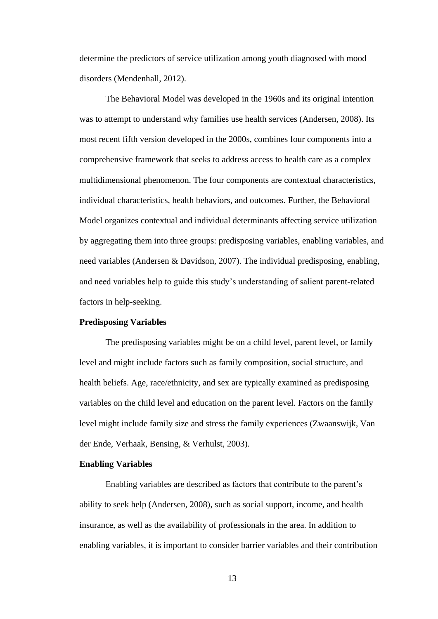determine the predictors of service utilization among youth diagnosed with mood disorders (Mendenhall, 2012).

The Behavioral Model was developed in the 1960s and its original intention was to attempt to understand why families use health services (Andersen, 2008). Its most recent fifth version developed in the 2000s, combines four components into a comprehensive framework that seeks to address access to health care as a complex multidimensional phenomenon. The four components are contextual characteristics, individual characteristics, health behaviors, and outcomes. Further, the Behavioral Model organizes contextual and individual determinants affecting service utilization by aggregating them into three groups: predisposing variables, enabling variables, and need variables (Andersen & Davidson, 2007). The individual predisposing, enabling, and need variables help to guide this study's understanding of salient parent-related factors in help-seeking.

#### <span id="page-21-0"></span>**Predisposing Variables**

The predisposing variables might be on a child level, parent level, or family level and might include factors such as family composition, social structure, and health beliefs. Age, race/ethnicity, and sex are typically examined as predisposing variables on the child level and education on the parent level. Factors on the family level might include family size and stress the family experiences (Zwaanswijk, Van der Ende, Verhaak, Bensing, & Verhulst, 2003).

#### <span id="page-21-1"></span>**Enabling Variables**

Enabling variables are described as factors that contribute to the parent's ability to seek help (Andersen, 2008), such as social support, income, and health insurance, as well as the availability of professionals in the area. In addition to enabling variables, it is important to consider barrier variables and their contribution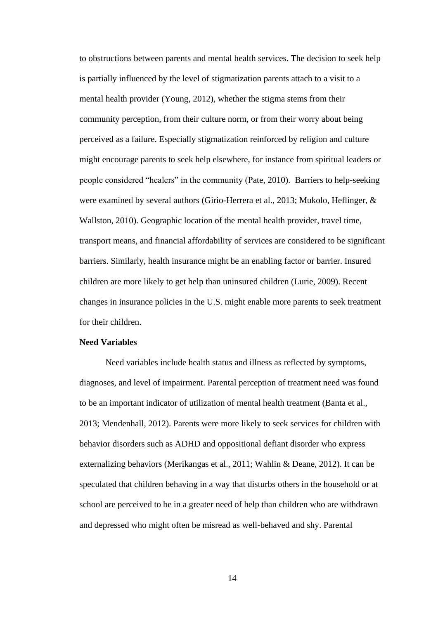to obstructions between parents and mental health services. The decision to seek help is partially influenced by the level of stigmatization parents attach to a visit to a mental health provider (Young, 2012), whether the stigma stems from their community perception, from their culture norm, or from their worry about being perceived as a failure. Especially stigmatization reinforced by religion and culture might encourage parents to seek help elsewhere, for instance from spiritual leaders or people considered "healers" in the community (Pate, 2010). Barriers to help-seeking were examined by several authors (Girio-Herrera et al., 2013; Mukolo, Heflinger, & Wallston, 2010). Geographic location of the mental health provider, travel time, transport means, and financial affordability of services are considered to be significant barriers. Similarly, health insurance might be an enabling factor or barrier. Insured children are more likely to get help than uninsured children (Lurie, 2009). Recent changes in insurance policies in the U.S. might enable more parents to seek treatment for their children.

#### <span id="page-22-0"></span>**Need Variables**

Need variables include health status and illness as reflected by symptoms, diagnoses, and level of impairment. Parental perception of treatment need was found to be an important indicator of utilization of mental health treatment (Banta et al., 2013; Mendenhall, 2012). Parents were more likely to seek services for children with behavior disorders such as ADHD and oppositional defiant disorder who express externalizing behaviors (Merikangas et al., 2011; Wahlin & Deane, 2012). It can be speculated that children behaving in a way that disturbs others in the household or at school are perceived to be in a greater need of help than children who are withdrawn and depressed who might often be misread as well-behaved and shy. Parental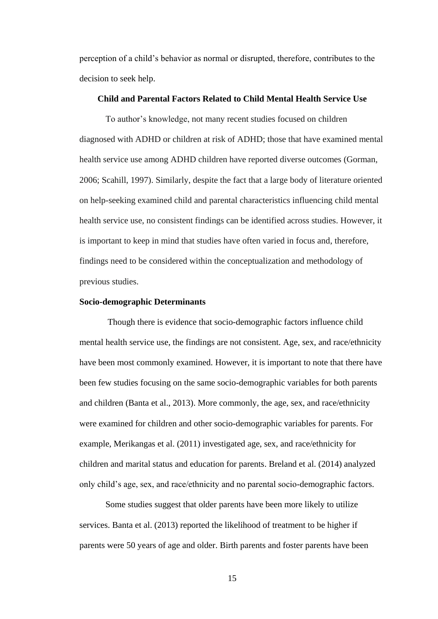perception of a child's behavior as normal or disrupted, therefore, contributes to the decision to seek help.

#### <span id="page-23-0"></span>**Child and Parental Factors Related to Child Mental Health Service Use**

To author's knowledge, not many recent studies focused on children diagnosed with ADHD or children at risk of ADHD; those that have examined mental health service use among ADHD children have reported diverse outcomes (Gorman, 2006; Scahill, 1997). Similarly, despite the fact that a large body of literature oriented on help-seeking examined child and parental characteristics influencing child mental health service use, no consistent findings can be identified across studies. However, it is important to keep in mind that studies have often varied in focus and, therefore, findings need to be considered within the conceptualization and methodology of previous studies.

#### <span id="page-23-1"></span>**Socio-demographic Determinants**

Though there is evidence that socio-demographic factors influence child mental health service use, the findings are not consistent. Age, sex, and race/ethnicity have been most commonly examined. However, it is important to note that there have been few studies focusing on the same socio-demographic variables for both parents and children (Banta et al., 2013). More commonly, the age, sex, and race/ethnicity were examined for children and other socio-demographic variables for parents. For example, Merikangas et al. (2011) investigated age, sex, and race/ethnicity for children and marital status and education for parents. Breland et al. (2014) analyzed only child's age, sex, and race/ethnicity and no parental socio-demographic factors.

Some studies suggest that older parents have been more likely to utilize services. Banta et al. (2013) reported the likelihood of treatment to be higher if parents were 50 years of age and older. Birth parents and foster parents have been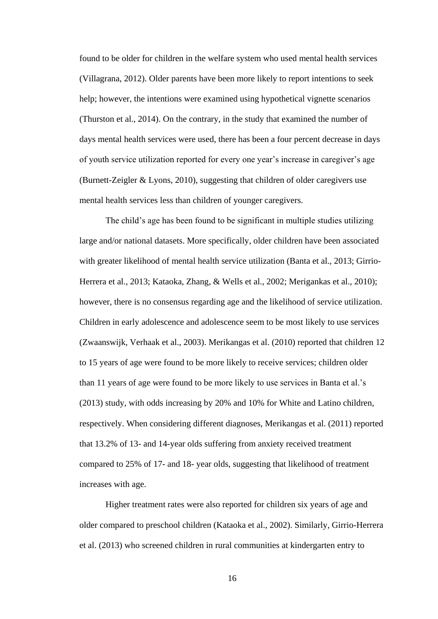found to be older for children in the welfare system who used mental health services (Villagrana, 2012). Older parents have been more likely to report intentions to seek help; however, the intentions were examined using hypothetical vignette scenarios (Thurston et al., 2014). On the contrary, in the study that examined the number of days mental health services were used, there has been a four percent decrease in days of youth service utilization reported for every one year's increase in caregiver's age (Burnett-Zeigler & Lyons, 2010), suggesting that children of older caregivers use mental health services less than children of younger caregivers.

The child's age has been found to be significant in multiple studies utilizing large and/or national datasets. More specifically, older children have been associated with greater likelihood of mental health service utilization (Banta et al., 2013; Girrio-Herrera et al., 2013; Kataoka, Zhang, & Wells et al., 2002; Merigankas et al., 2010); however, there is no consensus regarding age and the likelihood of service utilization. Children in early adolescence and adolescence seem to be most likely to use services (Zwaanswijk, Verhaak et al., 2003). Merikangas et al. (2010) reported that children 12 to 15 years of age were found to be more likely to receive services; children older than 11 years of age were found to be more likely to use services in Banta et al.'s (2013) study, with odds increasing by 20% and 10% for White and Latino children, respectively. When considering different diagnoses, Merikangas et al. (2011) reported that 13.2% of 13- and 14-year olds suffering from anxiety received treatment compared to 25% of 17- and 18- year olds, suggesting that likelihood of treatment increases with age.

Higher treatment rates were also reported for children six years of age and older compared to preschool children (Kataoka et al., 2002). Similarly, Girrio-Herrera et al. (2013) who screened children in rural communities at kindergarten entry to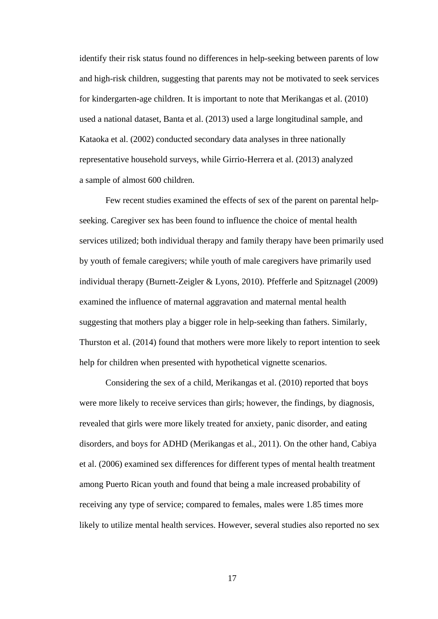identify their risk status found no differences in help-seeking between parents of low and high-risk children, suggesting that parents may not be motivated to seek services for kindergarten-age children. It is important to note that Merikangas et al. (2010) used a national dataset, Banta et al. (2013) used a large longitudinal sample, and Kataoka et al. (2002) conducted secondary data analyses in three nationally representative household surveys, while Girrio-Herrera et al. (2013) analyzed a sample of almost 600 children.

Few recent studies examined the effects of sex of the parent on parental helpseeking. Caregiver sex has been found to influence the choice of mental health services utilized; both individual therapy and family therapy have been primarily used by youth of female caregivers; while youth of male caregivers have primarily used individual therapy (Burnett-Zeigler & Lyons, 2010). Pfefferle and Spitznagel (2009) examined the influence of maternal aggravation and maternal mental health suggesting that mothers play a bigger role in help-seeking than fathers. Similarly, Thurston et al. (2014) found that mothers were more likely to report intention to seek help for children when presented with hypothetical vignette scenarios.

Considering the sex of a child, Merikangas et al. (2010) reported that boys were more likely to receive services than girls; however, the findings, by diagnosis, revealed that girls were more likely treated for anxiety, panic disorder, and eating disorders, and boys for ADHD (Merikangas et al., 2011). On the other hand, Cabiya et al. (2006) examined sex differences for different types of mental health treatment among Puerto Rican youth and found that being a male increased probability of receiving any type of service; compared to females, males were 1.85 times more likely to utilize mental health services. However, several studies also reported no sex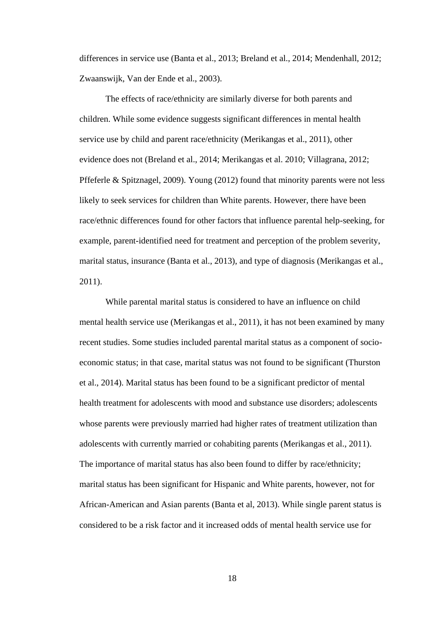differences in service use (Banta et al., 2013; Breland et al., 2014; Mendenhall, 2012; Zwaanswijk, Van der Ende et al., 2003).

The effects of race/ethnicity are similarly diverse for both parents and children. While some evidence suggests significant differences in mental health service use by child and parent race/ethnicity (Merikangas et al., 2011), other evidence does not (Breland et al., 2014; Merikangas et al. 2010; Villagrana, 2012; Pffeferle & Spitznagel, 2009). Young (2012) found that minority parents were not less likely to seek services for children than White parents. However, there have been race/ethnic differences found for other factors that influence parental help-seeking, for example, parent-identified need for treatment and perception of the problem severity, marital status, insurance (Banta et al., 2013), and type of diagnosis (Merikangas et al., 2011).

While parental marital status is considered to have an influence on child mental health service use (Merikangas et al., 2011), it has not been examined by many recent studies. Some studies included parental marital status as a component of socioeconomic status; in that case, marital status was not found to be significant (Thurston et al., 2014). Marital status has been found to be a significant predictor of mental health treatment for adolescents with mood and substance use disorders; adolescents whose parents were previously married had higher rates of treatment utilization than adolescents with currently married or cohabiting parents (Merikangas et al., 2011). The importance of marital status has also been found to differ by race/ethnicity; marital status has been significant for Hispanic and White parents, however, not for African-American and Asian parents (Banta et al, 2013). While single parent status is considered to be a risk factor and it increased odds of mental health service use for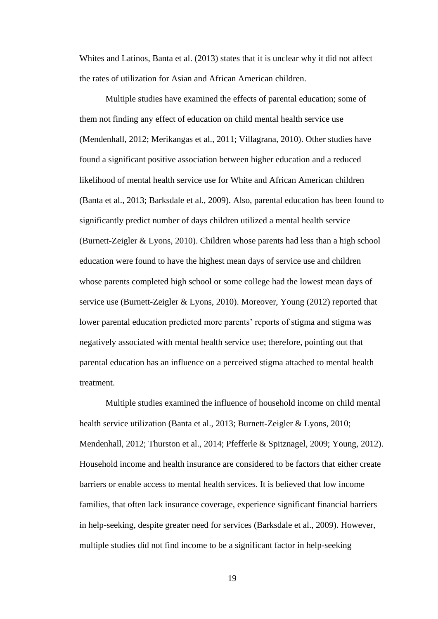Whites and Latinos, Banta et al. (2013) states that it is unclear why it did not affect the rates of utilization for Asian and African American children.

Multiple studies have examined the effects of parental education; some of them not finding any effect of education on child mental health service use (Mendenhall, 2012; Merikangas et al., 2011; Villagrana, 2010). Other studies have found a significant positive association between higher education and a reduced likelihood of mental health service use for White and African American children (Banta et al., 2013; Barksdale et al., 2009). Also, parental education has been found to significantly predict number of days children utilized a mental health service (Burnett-Zeigler & Lyons, 2010). Children whose parents had less than a high school education were found to have the highest mean days of service use and children whose parents completed high school or some college had the lowest mean days of service use (Burnett-Zeigler & Lyons, 2010). Moreover, Young (2012) reported that lower parental education predicted more parents' reports of stigma and stigma was negatively associated with mental health service use; therefore, pointing out that parental education has an influence on a perceived stigma attached to mental health treatment.

Multiple studies examined the influence of household income on child mental health service utilization (Banta et al., 2013; Burnett-Zeigler & Lyons, 2010; Mendenhall, 2012; Thurston et al., 2014; Pfefferle & Spitznagel, 2009; Young, 2012). Household income and health insurance are considered to be factors that either create barriers or enable access to mental health services. It is believed that low income families, that often lack insurance coverage, experience significant financial barriers in help-seeking, despite greater need for services (Barksdale et al., 2009). However, multiple studies did not find income to be a significant factor in help-seeking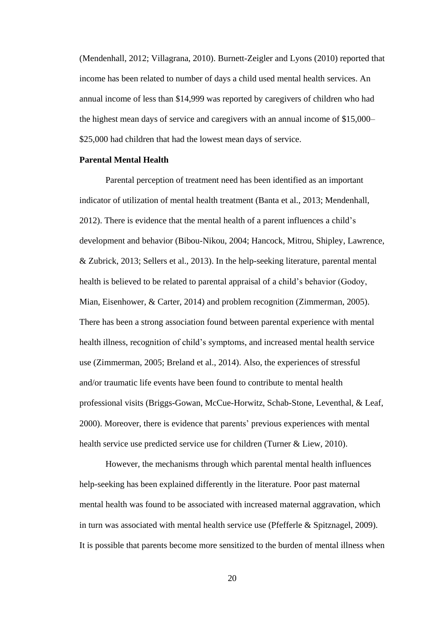(Mendenhall, 2012; Villagrana, 2010). Burnett-Zeigler and Lyons (2010) reported that income has been related to number of days a child used mental health services. An annual income of less than \$14,999 was reported by caregivers of children who had the highest mean days of service and caregivers with an annual income of \$15,000– \$25,000 had children that had the lowest mean days of service.

## <span id="page-28-0"></span>**Parental Mental Health**

Parental perception of treatment need has been identified as an important indicator of utilization of mental health treatment (Banta et al., 2013; Mendenhall, 2012). There is evidence that the mental health of a parent influences a child's development and behavior (Bibou-Nikou, 2004; Hancock, Mitrou, Shipley, Lawrence, & Zubrick, 2013; Sellers et al., 2013). In the help-seeking literature, parental mental health is believed to be related to parental appraisal of a child's behavior (Godoy, Mian, Eisenhower, & Carter, 2014) and problem recognition (Zimmerman, 2005). There has been a strong association found between parental experience with mental health illness, recognition of child's symptoms, and increased mental health service use (Zimmerman, 2005; Breland et al., 2014). Also, the experiences of stressful and/or traumatic life events have been found to contribute to mental health professional visits (Briggs-Gowan, McCue-Horwitz, Schab-Stone, Leventhal, & Leaf, 2000). Moreover, there is evidence that parents' previous experiences with mental health service use predicted service use for children (Turner & Liew, 2010).

However, the mechanisms through which parental mental health influences help-seeking has been explained differently in the literature. Poor past maternal mental health was found to be associated with increased maternal aggravation, which in turn was associated with mental health service use (Pfefferle & Spitznagel, 2009). It is possible that parents become more sensitized to the burden of mental illness when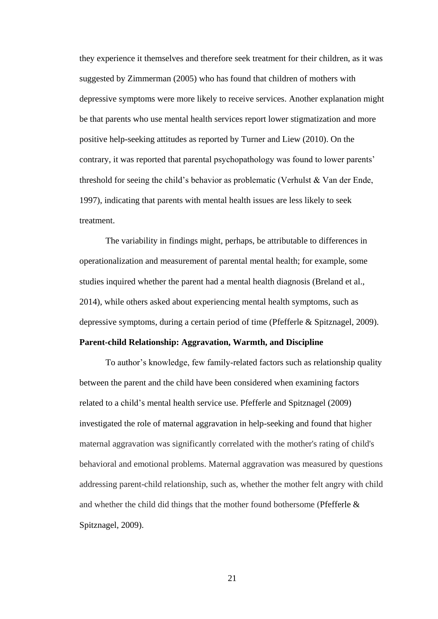they experience it themselves and therefore seek treatment for their children, as it was suggested by Zimmerman (2005) who has found that children of mothers with depressive symptoms were more likely to receive services. Another explanation might be that parents who use mental health services report lower stigmatization and more positive help-seeking attitudes as reported by Turner and Liew (2010). On the contrary, it was reported that parental psychopathology was found to lower parents' threshold for seeing the child's behavior as problematic (Verhulst & Van der Ende, 1997), indicating that parents with mental health issues are less likely to seek treatment.

The variability in findings might, perhaps, be attributable to differences in operationalization and measurement of parental mental health; for example, some studies inquired whether the parent had a mental health diagnosis (Breland et al., 2014), while others asked about experiencing mental health symptoms, such as depressive symptoms, during a certain period of time (Pfefferle & Spitznagel, 2009).

#### <span id="page-29-0"></span>**Parent-child Relationship: Aggravation, Warmth, and Discipline**

To author's knowledge, few family-related factors such as relationship quality between the parent and the child have been considered when examining factors related to a child's mental health service use. Pfefferle and Spitznagel (2009) investigated the role of maternal aggravation in help-seeking and found that higher maternal aggravation was significantly correlated with the mother's rating of child's behavioral and emotional problems. Maternal aggravation was measured by questions addressing parent-child relationship, such as, whether the mother felt angry with child and whether the child did things that the mother found bothersome (Pfefferle & Spitznagel, 2009).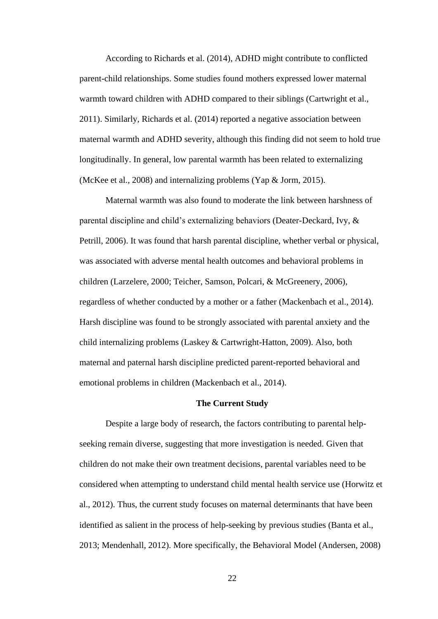According to Richards et al. (2014), ADHD might contribute to conflicted parent-child relationships. Some studies found mothers expressed lower maternal warmth toward children with ADHD compared to their siblings (Cartwright et al., 2011). Similarly, Richards et al. (2014) reported a negative association between maternal warmth and ADHD severity, although this finding did not seem to hold true longitudinally. In general, low parental warmth has been related to externalizing (McKee et al., 2008) and internalizing problems (Yap & Jorm, 2015).

Maternal warmth was also found to moderate the link between harshness of parental discipline and child's externalizing behaviors (Deater-Deckard, Ivy, & Petrill, 2006). It was found that harsh parental discipline, whether verbal or physical, was associated with adverse mental health outcomes and behavioral problems in children (Larzelere, 2000; Teicher, Samson, Polcari, & McGreenery, 2006), regardless of whether conducted by a mother or a father (Mackenbach et al., 2014). Harsh discipline was found to be strongly associated with parental anxiety and the child internalizing problems (Laskey & Cartwright-Hatton, 2009). Also, both maternal and paternal harsh discipline predicted parent-reported behavioral and emotional problems in children (Mackenbach et al., 2014).

#### **The Current Study**

<span id="page-30-0"></span>Despite a large body of research, the factors contributing to parental helpseeking remain diverse, suggesting that more investigation is needed. Given that children do not make their own treatment decisions, parental variables need to be considered when attempting to understand child mental health service use (Horwitz et al., 2012). Thus, the current study focuses on maternal determinants that have been identified as salient in the process of help-seeking by previous studies (Banta et al., 2013; Mendenhall, 2012). More specifically, the Behavioral Model (Andersen, 2008)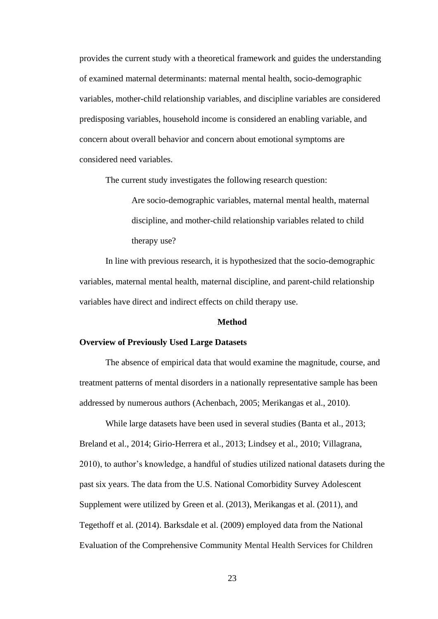provides the current study with a theoretical framework and guides the understanding of examined maternal determinants: maternal mental health, socio-demographic variables, mother-child relationship variables, and discipline variables are considered predisposing variables, household income is considered an enabling variable, and concern about overall behavior and concern about emotional symptoms are considered need variables.

The current study investigates the following research question:

Are socio-demographic variables, maternal mental health, maternal discipline, and mother-child relationship variables related to child therapy use?

In line with previous research, it is hypothesized that the socio-demographic variables, maternal mental health, maternal discipline, and parent-child relationship variables have direct and indirect effects on child therapy use.

#### **Method**

#### <span id="page-31-1"></span><span id="page-31-0"></span>**Overview of Previously Used Large Datasets**

The absence of empirical data that would examine the magnitude, course, and treatment patterns of mental disorders in a nationally representative sample has been addressed by numerous authors (Achenbach, 2005; Merikangas et al., 2010).

While large datasets have been used in several studies (Banta et al., 2013; Breland et al., 2014; Girio-Herrera et al., 2013; Lindsey et al., 2010; Villagrana, 2010), to author's knowledge, a handful of studies utilized national datasets during the past six years. The data from the U.S. National Comorbidity Survey Adolescent Supplement were utilized by Green et al. (2013), Merikangas et al. (2011), and Tegethoff et al. (2014). Barksdale et al. (2009) employed data from the National Evaluation of the Comprehensive Community Mental Health Services for Children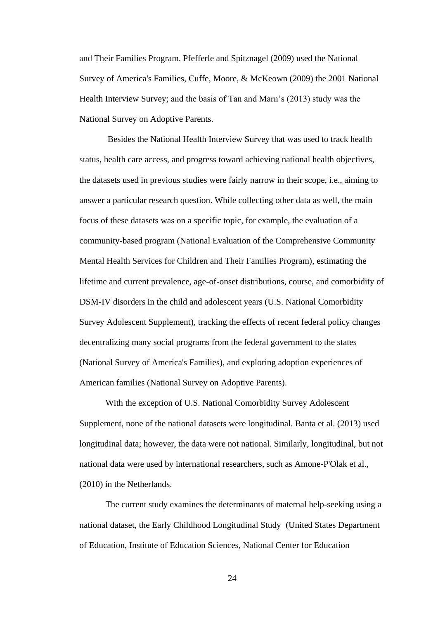and Their Families Program. Pfefferle and Spitznagel (2009) used the National Survey of America's Families, Cuffe, Moore, & McKeown (2009) the 2001 National Health Interview Survey; and the basis of Tan and Marn's (2013) study was the National Survey on Adoptive Parents.

Besides the National Health Interview Survey that was used to track health status, health care access, and progress toward achieving national health objectives, the datasets used in previous studies were fairly narrow in their scope, i.e., aiming to answer a particular research question. While collecting other data as well, the main focus of these datasets was on a specific topic, for example, the evaluation of a community-based program (National Evaluation of the Comprehensive Community Mental Health Services for Children and Their Families Program), estimating the lifetime and current prevalence, age-of-onset distributions, course, and comorbidity of DSM-IV disorders in the child and adolescent years (U.S. National Comorbidity Survey Adolescent Supplement), tracking the effects of recent federal policy changes decentralizing many social programs from the federal government to the states (National Survey of America's Families), and exploring adoption experiences of American families (National Survey on Adoptive Parents).

With the exception of U.S. National Comorbidity Survey Adolescent Supplement, none of the national datasets were longitudinal. Banta et al. (2013) used longitudinal data; however, the data were not national. Similarly, longitudinal, but not national data were used by international researchers, such as Amone-P'Olak et al., (2010) in the Netherlands.

The current study examines the determinants of maternal help-seeking using a national dataset, the Early Childhood Longitudinal Study [\(United States Department](#page-58-1)  [of Education, Institute of Education Sciences, National Center for Education](#page-58-1)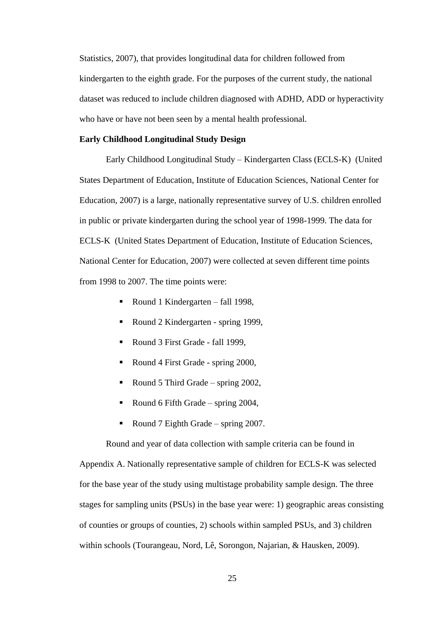[Statistics, 200](#page-58-1)7), that provides longitudinal data for children followed from kindergarten to the eighth grade. For the purposes of the current study, the national dataset was reduced to include children diagnosed with ADHD, ADD or hyperactivity who have or have not been seen by a mental health professional.

#### <span id="page-33-0"></span>**Early Childhood Longitudinal Study Design**

Early Childhood Longitudinal Study – Kindergarten Class (ECLS-K) [\(United](#page-58-1)  [States Department of Education, Institute of Education Sciences, National Center for](#page-58-1)  [Education, 200](#page-58-1)7) is a large, nationally representative survey of U.S. children enrolled in public or private kindergarten during the school year of 1998-1999. The data for ECLS-K [\(United States Department of Education, Institute of Education Sciences,](#page-58-1)  [National Center for Education, 200](#page-58-1)7) were collected at seven different time points from 1998 to 2007. The time points were:

- Round 1 Kindergarten fall 1998,
- Round 2 Kindergarten spring 1999,
- Round 3 First Grade fall 1999,
- Round 4 First Grade spring 2000,
- Round 5 Third Grade spring 2002,
- Round 6 Fifth Grade spring  $2004$ ,
- Round 7 Eighth Grade spring 2007.

Round and year of data collection with sample criteria can be found in Appendix A. Nationally representative sample of children for ECLS-K was selected for the base year of the study using multistage probability sample design. The three stages for sampling units (PSUs) in the base year were: 1) geographic areas consisting of counties or groups of counties, 2) schools within sampled PSUs, and 3) children within schools (Tourangeau, Nord, Lê, Sorongon, Najarian, & Hausken, 2009).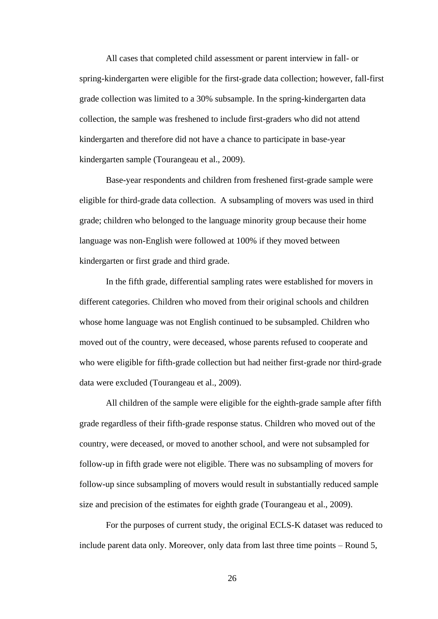All cases that completed child assessment or parent interview in fall- or spring-kindergarten were eligible for the first-grade data collection; however, fall-first grade collection was limited to a 30% subsample. In the spring-kindergarten data collection, the sample was freshened to include first-graders who did not attend kindergarten and therefore did not have a chance to participate in base-year kindergarten sample (Tourangeau et al., 2009).

Base-year respondents and children from freshened first-grade sample were eligible for third-grade data collection. A subsampling of movers was used in third grade; children who belonged to the language minority group because their home language was non-English were followed at 100% if they moved between kindergarten or first grade and third grade.

In the fifth grade, differential sampling rates were established for movers in different categories. Children who moved from their original schools and children whose home language was not English continued to be subsampled. Children who moved out of the country, were deceased, whose parents refused to cooperate and who were eligible for fifth-grade collection but had neither first-grade nor third-grade data were excluded (Tourangeau et al., 2009).

All children of the sample were eligible for the eighth-grade sample after fifth grade regardless of their fifth-grade response status. Children who moved out of the country, were deceased, or moved to another school, and were not subsampled for follow-up in fifth grade were not eligible. There was no subsampling of movers for follow-up since subsampling of movers would result in substantially reduced sample size and precision of the estimates for eighth grade (Tourangeau et al., 2009).

For the purposes of current study, the original ECLS-K dataset was reduced to include parent data only. Moreover, only data from last three time points – Round 5,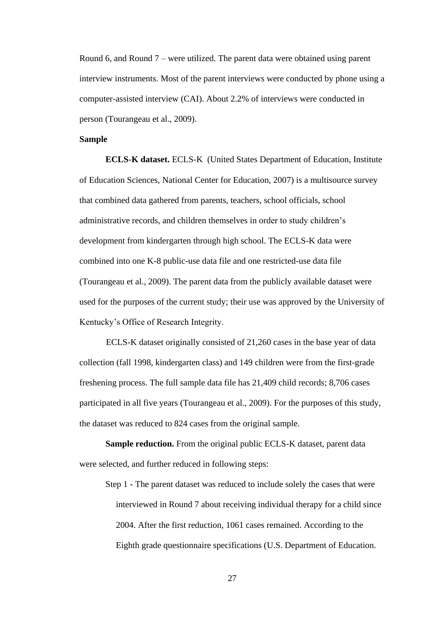Round 6, and Round 7 – were utilized. The parent data were obtained using parent interview instruments. Most of the parent interviews were conducted by phone using a computer-assisted interview (CAI). About 2.2% of interviews were conducted in person (Tourangeau et al., 2009).

#### <span id="page-35-0"></span>**Sample**

**ECLS-K dataset.** ECLS-K [\(United States Department of Education, Institute](#page-58-1)  [of Education Sciences, National Center for Education, 200](#page-58-1)7) is a multisource survey that combined data gathered from parents, teachers, school officials, school administrative records, and children themselves in order to study children's development from kindergarten through high school. The ECLS-K data were combined into one K-8 public-use data file and one restricted-use data file (Tourangeau et al., 2009). The parent data from the publicly available dataset were used for the purposes of the current study; their use was approved by the University of Kentucky's Office of Research Integrity.

ECLS-K dataset originally consisted of 21,260 cases in the base year of data collection (fall 1998, kindergarten class) and 149 children were from the first-grade freshening process. The full sample data file has 21,409 child records; 8,706 cases participated in all five years (Tourangeau et al., 2009). For the purposes of this study, the dataset was reduced to 824 cases from the original sample.

**Sample reduction.** From the original public ECLS-K dataset, parent data were selected, and further reduced in following steps:

Step 1 - The parent dataset was reduced to include solely the cases that were interviewed in Round 7 about receiving individual therapy for a child since 2004. After the first reduction, 1061 cases remained. According to the Eighth grade questionnaire specifications (U.S. Department of Education.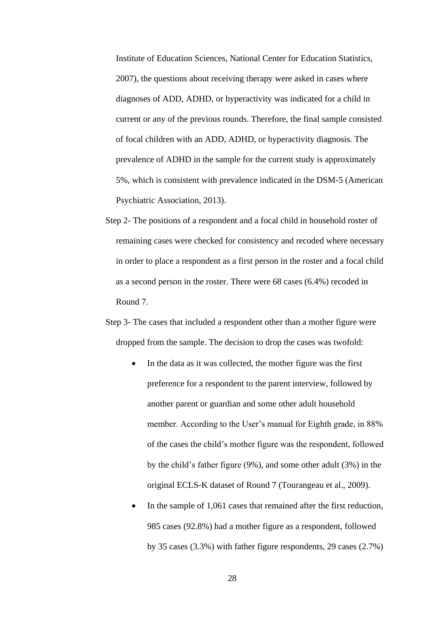Institute of Education Sciences, National Center for Education Statistics, 2007), the questions about receiving therapy were asked in cases where diagnoses of ADD, ADHD, or hyperactivity was indicated for a child in current or any of the previous rounds. Therefore, the final sample consisted of focal children with an ADD, ADHD, or hyperactivity diagnosis. The prevalence of ADHD in the sample for the current study is approximately 5%, which is consistent with prevalence indicated in the DSM-5 (American Psychiatric Association, 2013).

- Step 2- The positions of a respondent and a focal child in household roster of remaining cases were checked for consistency and recoded where necessary in order to place a respondent as a first person in the roster and a focal child as a second person in the roster. There were 68 cases (6.4%) recoded in Round 7.
- Step 3- The cases that included a respondent other than a mother figure were dropped from the sample. The decision to drop the cases was twofold:
	- In the data as it was collected, the mother figure was the first preference for a respondent to the parent interview, followed by another parent or guardian and some other adult household member. According to the User's manual for Eighth grade, in 88% of the cases the child's mother figure was the respondent, followed by the child's father figure (9%), and some other adult (3%) in the original ECLS-K dataset of Round 7 (Tourangeau et al., 2009).
	- In the sample of 1,061 cases that remained after the first reduction, 985 cases (92.8%) had a mother figure as a respondent, followed by 35 cases (3.3%) with father figure respondents, 29 cases (2.7%)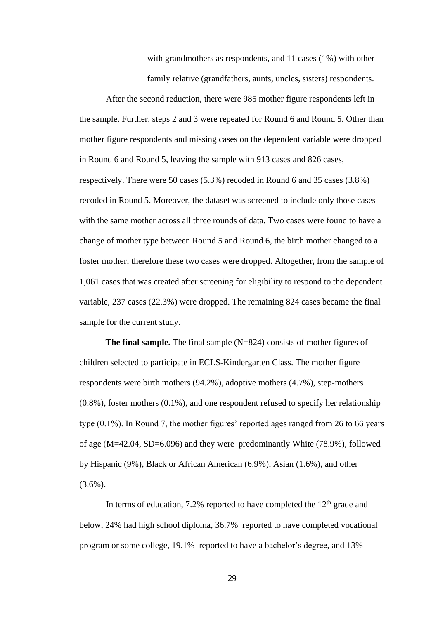with grandmothers as respondents, and 11 cases (1%) with other family relative (grandfathers, aunts, uncles, sisters) respondents.

After the second reduction, there were 985 mother figure respondents left in the sample. Further, steps 2 and 3 were repeated for Round 6 and Round 5. Other than mother figure respondents and missing cases on the dependent variable were dropped in Round 6 and Round 5, leaving the sample with 913 cases and 826 cases, respectively. There were 50 cases (5.3%) recoded in Round 6 and 35 cases (3.8%) recoded in Round 5. Moreover, the dataset was screened to include only those cases with the same mother across all three rounds of data. Two cases were found to have a change of mother type between Round 5 and Round 6, the birth mother changed to a foster mother; therefore these two cases were dropped. Altogether, from the sample of 1,061 cases that was created after screening for eligibility to respond to the dependent variable, 237 cases (22.3%) were dropped. The remaining 824 cases became the final sample for the current study.

**The final sample.** The final sample (N=824) consists of mother figures of children selected to participate in ECLS-Kindergarten Class. The mother figure respondents were birth mothers (94.2%), adoptive mothers (4.7%), step-mothers (0.8%), foster mothers (0.1%), and one respondent refused to specify her relationship type (0.1%). In Round 7, the mother figures' reported ages ranged from 26 to 66 years of age (M=42.04, SD=6.096) and they were predominantly White (78.9%), followed by Hispanic (9%), Black or African American (6.9%), Asian (1.6%), and other  $(3.6\%)$ .

In terms of education,  $7.2\%$  reported to have completed the  $12<sup>th</sup>$  grade and below, 24% had high school diploma, 36.7% reported to have completed vocational program or some college, 19.1% reported to have a bachelor's degree, and 13%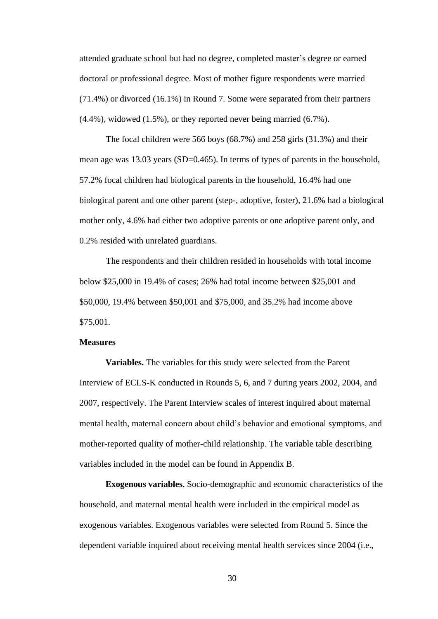attended graduate school but had no degree, completed master's degree or earned doctoral or professional degree. Most of mother figure respondents were married (71.4%) or divorced (16.1%) in Round 7. Some were separated from their partners (4.4%), widowed (1.5%), or they reported never being married (6.7%).

The focal children were 566 boys (68.7%) and 258 girls (31.3%) and their mean age was 13.03 years (SD=0.465). In terms of types of parents in the household, 57.2% focal children had biological parents in the household, 16.4% had one biological parent and one other parent (step-, adoptive, foster), 21.6% had a biological mother only, 4.6% had either two adoptive parents or one adoptive parent only, and 0.2% resided with unrelated guardians.

The respondents and their children resided in households with total income below \$25,000 in 19.4% of cases; 26% had total income between \$25,001 and \$50,000, 19.4% between \$50,001 and \$75,000, and 35.2% had income above \$75,001.

# **Measures**

**Variables.** The variables for this study were selected from the Parent Interview of ECLS-K conducted in Rounds 5, 6, and 7 during years 2002, 2004, and 2007, respectively. The Parent Interview scales of interest inquired about maternal mental health, maternal concern about child's behavior and emotional symptoms, and mother-reported quality of mother-child relationship. The variable table describing variables included in the model can be found in Appendix B.

**Exogenous variables.** Socio-demographic and economic characteristics of the household, and maternal mental health were included in the empirical model as exogenous variables. Exogenous variables were selected from Round 5. Since the dependent variable inquired about receiving mental health services since 2004 (i.e.,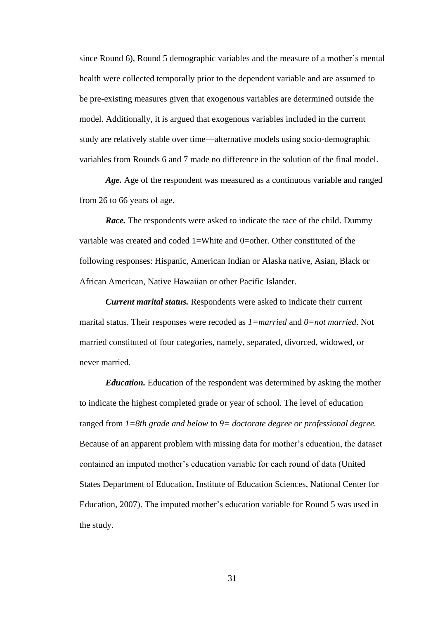since Round 6), Round 5 demographic variables and the measure of a mother's mental health were collected temporally prior to the dependent variable and are assumed to be pre-existing measures given that exogenous variables are determined outside the model. Additionally, it is argued that exogenous variables included in the current study are relatively stable over time—alternative models using socio-demographic variables from Rounds 6 and 7 made no difference in the solution of the final model.

*Age.* Age of the respondent was measured as a continuous variable and ranged from 26 to 66 years of age.

*Race.* The respondents were asked to indicate the race of the child. Dummy variable was created and coded 1=White and 0=other. Other constituted of the following responses: Hispanic, American Indian or Alaska native, Asian, Black or African American, Native Hawaiian or other Pacific Islander.

*Current marital status.* Respondents were asked to indicate their current marital status. Their responses were recoded as *1=married* and *0=not married*. Not married constituted of four categories, namely, separated, divorced, widowed, or never married.

*Education.* Education of the respondent was determined by asking the mother to indicate the highest completed grade or year of school. The level of education ranged from *1=8th grade and below* to *9= doctorate degree or professional degree.* Because of an apparent problem with missing data for mother's education, the dataset contained an imputed mother's education variable for each round of data [\(United](#page-58-0)  [States Department of Education, Institute of Education Sciences, National Center for](#page-58-0)  [Education, 200](#page-58-0)7). The imputed mother's education variable for Round 5 was used in the study.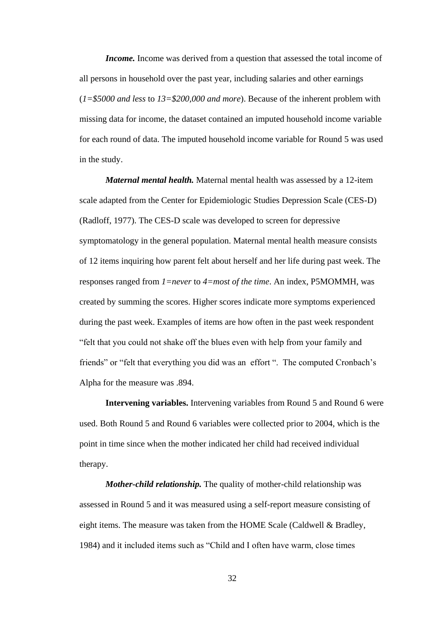*Income*. Income was derived from a question that assessed the total income of all persons in household over the past year, including salaries and other earnings (*1=\$5000 and less* to *13=\$200,000 and more*). Because of the inherent problem with missing data for income, the dataset contained an imputed household income variable for each round of data. The imputed household income variable for Round 5 was used in the study.

*Maternal mental health.* Maternal mental health was assessed by a 12-item scale adapted from the Center for Epidemiologic Studies Depression Scale (CES-D) (Radloff, 1977). The CES-D scale was developed to screen for depressive symptomatology in the general population. Maternal mental health measure consists of 12 items inquiring how parent felt about herself and her life during past week. The responses ranged from *1=never* to *4=most of the time*. An index, P5MOMMH, was created by summing the scores. Higher scores indicate more symptoms experienced during the past week. Examples of items are how often in the past week respondent "felt that you could not shake off the blues even with help from your family and friends" or "felt that everything you did was an effort ". The computed Cronbach's Alpha for the measure was .894.

**Intervening variables.** Intervening variables from Round 5 and Round 6 were used. Both Round 5 and Round 6 variables were collected prior to 2004, which is the point in time since when the mother indicated her child had received individual therapy.

*Mother-child relationship.* The quality of mother-child relationship was assessed in Round 5 and it was measured using a self-report measure consisting of eight items. The measure was taken from the HOME Scale (Caldwell & Bradley, 1984) and it included items such as "Child and I often have warm, close times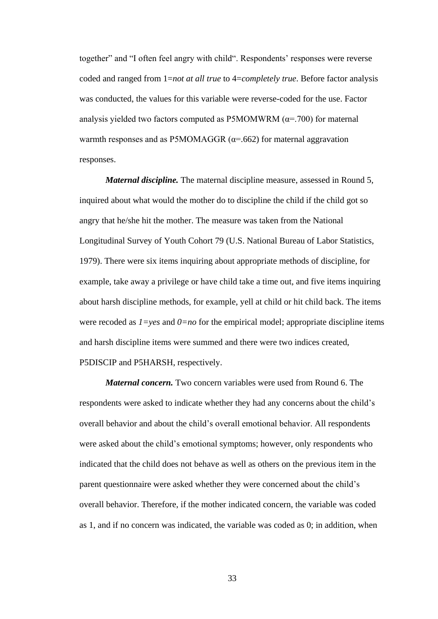together" and "I often feel angry with child". Respondents' responses were reverse coded and ranged from 1=*not at all true* to 4=*completely true*. Before factor analysis was conducted, the values for this variable were reverse-coded for the use. Factor analysis yielded two factors computed as P5MOMWRM  $(\alpha = .700)$  for maternal warmth responses and as P5MOMAGGR  $(\alpha = .662)$  for maternal aggravation responses.

*Maternal discipline.* The maternal discipline measure, assessed in Round 5, inquired about what would the mother do to discipline the child if the child got so angry that he/she hit the mother. The measure was taken from the National Longitudinal Survey of Youth Cohort 79 (U.S. National Bureau of Labor Statistics, 1979). There were six items inquiring about appropriate methods of discipline, for example, take away a privilege or have child take a time out, and five items inquiring about harsh discipline methods, for example, yell at child or hit child back. The items were recoded as  $1 = yes$  and  $0 = no$  for the empirical model; appropriate discipline items and harsh discipline items were summed and there were two indices created, P5DISCIP and P5HARSH, respectively.

*Maternal concern.* Two concern variables were used from Round 6. The respondents were asked to indicate whether they had any concerns about the child's overall behavior and about the child's overall emotional behavior. All respondents were asked about the child's emotional symptoms; however, only respondents who indicated that the child does not behave as well as others on the previous item in the parent questionnaire were asked whether they were concerned about the child's overall behavior. Therefore, if the mother indicated concern, the variable was coded as 1, and if no concern was indicated, the variable was coded as 0; in addition, when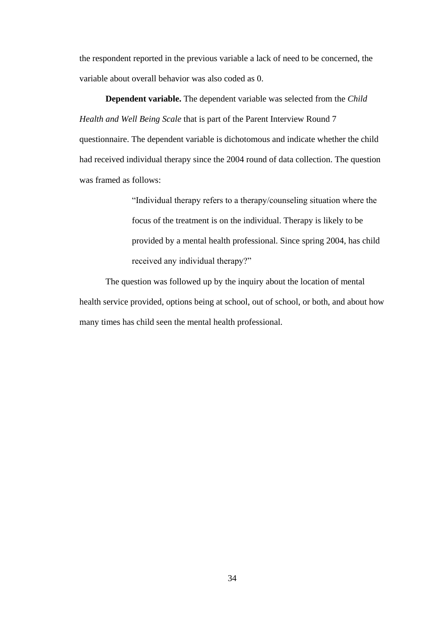the respondent reported in the previous variable a lack of need to be concerned, the variable about overall behavior was also coded as 0.

**Dependent variable.** The dependent variable was selected from the *Child Health and Well Being Scale* that is part of the Parent Interview Round 7 questionnaire. The dependent variable is dichotomous and indicate whether the child had received individual therapy since the 2004 round of data collection. The question was framed as follows:

> "Individual therapy refers to a therapy/counseling situation where the focus of the treatment is on the individual. Therapy is likely to be provided by a mental health professional. Since spring 2004, has child received any individual therapy?"

The question was followed up by the inquiry about the location of mental health service provided, options being at school, out of school, or both, and about how many times has child seen the mental health professional.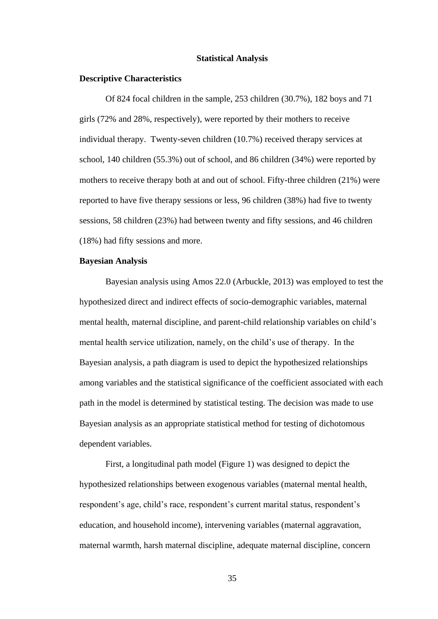# **Statistical Analysis**

# **Descriptive Characteristics**

Of 824 focal children in the sample, 253 children (30.7%), 182 boys and 71 girls (72% and 28%, respectively), were reported by their mothers to receive individual therapy. Twenty-seven children (10.7%) received therapy services at school, 140 children (55.3%) out of school, and 86 children (34%) were reported by mothers to receive therapy both at and out of school. Fifty-three children (21%) were reported to have five therapy sessions or less, 96 children (38%) had five to twenty sessions, 58 children (23%) had between twenty and fifty sessions, and 46 children (18%) had fifty sessions and more.

# **Bayesian Analysis**

Bayesian analysis using Amos 22.0 (Arbuckle, 2013) was employed to test the hypothesized direct and indirect effects of socio-demographic variables, maternal mental health, maternal discipline, and parent-child relationship variables on child's mental health service utilization, namely, on the child's use of therapy. In the Bayesian analysis, a path diagram is used to depict the hypothesized relationships among variables and the statistical significance of the coefficient associated with each path in the model is determined by statistical testing. The decision was made to use Bayesian analysis as an appropriate statistical method for testing of dichotomous dependent variables.

First, a longitudinal path model (Figure 1) was designed to depict the hypothesized relationships between exogenous variables (maternal mental health, respondent's age, child's race, respondent's current marital status, respondent's education, and household income), intervening variables (maternal aggravation, maternal warmth, harsh maternal discipline, adequate maternal discipline, concern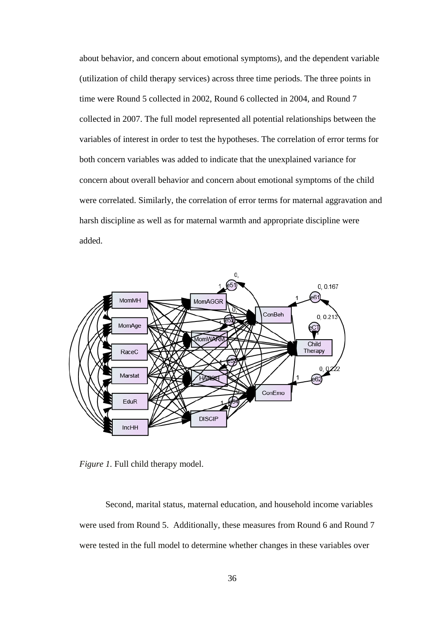about behavior, and concern about emotional symptoms), and the dependent variable (utilization of child therapy services) across three time periods. The three points in time were Round 5 collected in 2002, Round 6 collected in 2004, and Round 7 collected in 2007. The full model represented all potential relationships between the variables of interest in order to test the hypotheses. The correlation of error terms for both concern variables was added to indicate that the unexplained variance for concern about overall behavior and concern about emotional symptoms of the child were correlated. Similarly, the correlation of error terms for maternal aggravation and harsh discipline as well as for maternal warmth and appropriate discipline were added.



*Figure 1.* Full child therapy model.

Second, marital status, maternal education, and household income variables were used from Round 5. Additionally, these measures from Round 6 and Round 7 were tested in the full model to determine whether changes in these variables over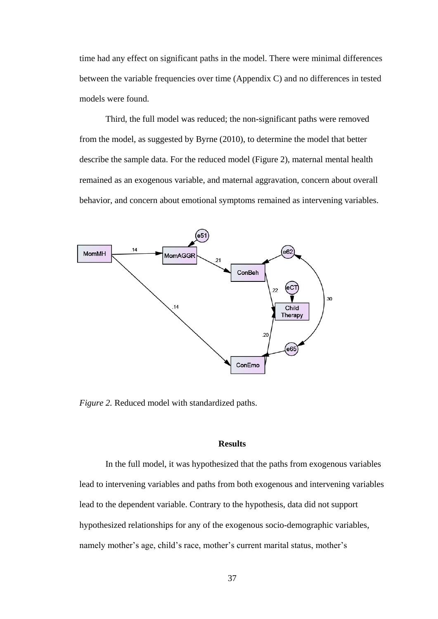time had any effect on significant paths in the model. There were minimal differences between the variable frequencies over time (Appendix C) and no differences in tested models were found.

Third, the full model was reduced; the non-significant paths were removed from the model, as suggested by Byrne (2010), to determine the model that better describe the sample data. For the reduced model (Figure 2), maternal mental health remained as an exogenous variable, and maternal aggravation, concern about overall behavior, and concern about emotional symptoms remained as intervening variables.



*Figure 2.* Reduced model with standardized paths.

# **Results**

In the full model, it was hypothesized that the paths from exogenous variables lead to intervening variables and paths from both exogenous and intervening variables lead to the dependent variable. Contrary to the hypothesis, data did not support hypothesized relationships for any of the exogenous socio-demographic variables, namely mother's age, child's race, mother's current marital status, mother's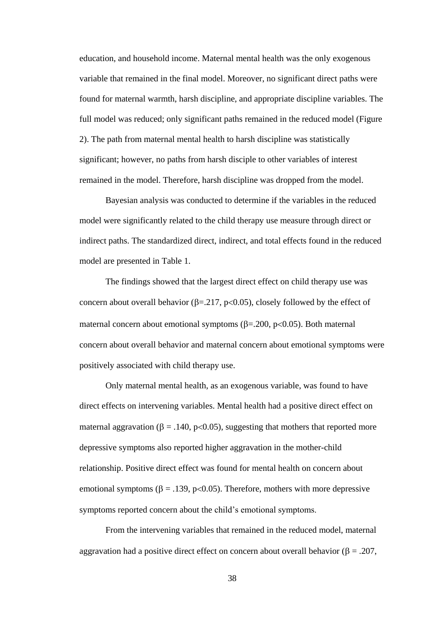education, and household income. Maternal mental health was the only exogenous variable that remained in the final model. Moreover, no significant direct paths were found for maternal warmth, harsh discipline, and appropriate discipline variables. The full model was reduced; only significant paths remained in the reduced model (Figure 2). The path from maternal mental health to harsh discipline was statistically significant; however, no paths from harsh disciple to other variables of interest remained in the model. Therefore, harsh discipline was dropped from the model.

Bayesian analysis was conducted to determine if the variables in the reduced model were significantly related to the child therapy use measure through direct or indirect paths. The standardized direct, indirect, and total effects found in the reduced model are presented in Table 1.

The findings showed that the largest direct effect on child therapy use was concern about overall behavior ( $\beta$ =.217, p<0.05), closely followed by the effect of maternal concern about emotional symptoms ( $\beta$ =.200, p<0.05). Both maternal concern about overall behavior and maternal concern about emotional symptoms were positively associated with child therapy use.

Only maternal mental health, as an exogenous variable, was found to have direct effects on intervening variables. Mental health had a positive direct effect on maternal aggravation ( $\beta = .140$ , p<0.05), suggesting that mothers that reported more depressive symptoms also reported higher aggravation in the mother-child relationship. Positive direct effect was found for mental health on concern about emotional symptoms ( $\beta = .139$ , p<0.05). Therefore, mothers with more depressive symptoms reported concern about the child's emotional symptoms.

From the intervening variables that remained in the reduced model, maternal aggravation had a positive direct effect on concern about overall behavior ( $\beta = .207$ ,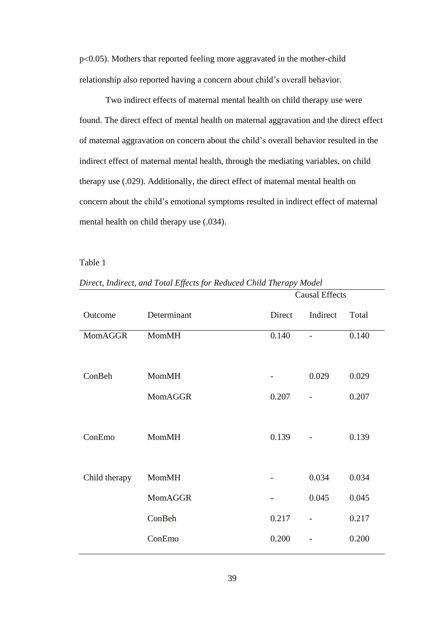$p<0.05$ ). Mothers that reported feeling more aggravated in the mother-child relationship also reported having a concern about child's overall behavior.

Two indirect effects of maternal mental health on child therapy use were found. The direct effect of mental health on maternal aggravation and the direct effect of maternal aggravation on concern about the child's overall behavior resulted in the indirect effect of maternal mental health, through the mediating variables, on child therapy use (.029). Additionally, the direct effect of maternal mental health on concern about the child's emotional symptoms resulted in indirect effect of maternal mental health on child therapy use (.034).

Table 1

|                |              | <b>Causal Effects</b> |                          |       |
|----------------|--------------|-----------------------|--------------------------|-------|
| Outcome        | Determinant  | Direct                | Indirect                 | Total |
| <b>MomAGGR</b> | <b>MomMH</b> | 0.140                 | $\overline{a}$           | 0.140 |
|                |              |                       |                          |       |
| ConBeh         | <b>MomMH</b> |                       | 0.029                    | 0.029 |
|                | MomAGGR      | 0.207                 | $\overline{\phantom{0}}$ | 0.207 |
|                |              |                       |                          |       |
| ConEmo         | <b>MomMH</b> | 0.139                 |                          | 0.139 |
|                |              |                       |                          |       |
| Child therapy  | MomMH        |                       | 0.034                    | 0.034 |
|                | MomAGGR      |                       | 0.045                    | 0.045 |
|                | ConBeh       | 0.217                 | $\overline{\phantom{0}}$ | 0.217 |
|                | ConEmo       | 0.200                 | $\overline{a}$           | 0.200 |

*Direct, Indirect, and Total Effects for Reduced Child Therapy Model*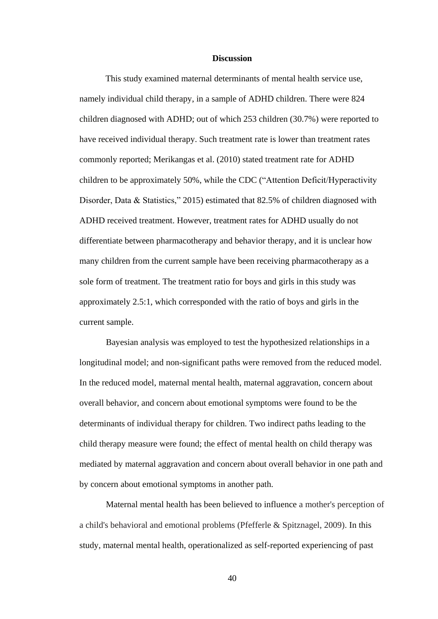# **Discussion**

This study examined maternal determinants of mental health service use, namely individual child therapy, in a sample of ADHD children. There were 824 children diagnosed with ADHD; out of which 253 children (30.7%) were reported to have received individual therapy. Such treatment rate is lower than treatment rates commonly reported; Merikangas et al. (2010) stated treatment rate for ADHD children to be approximately 50%, while the CDC ("Attention Deficit/Hyperactivity Disorder, Data & Statistics," 2015) estimated that 82.5% of children diagnosed with ADHD received treatment. However, treatment rates for ADHD usually do not differentiate between pharmacotherapy and behavior therapy, and it is unclear how many children from the current sample have been receiving pharmacotherapy as a sole form of treatment. The treatment ratio for boys and girls in this study was approximately 2.5:1, which corresponded with the ratio of boys and girls in the current sample.

Bayesian analysis was employed to test the hypothesized relationships in a longitudinal model; and non-significant paths were removed from the reduced model. In the reduced model, maternal mental health, maternal aggravation, concern about overall behavior, and concern about emotional symptoms were found to be the determinants of individual therapy for children. Two indirect paths leading to the child therapy measure were found; the effect of mental health on child therapy was mediated by maternal aggravation and concern about overall behavior in one path and by concern about emotional symptoms in another path.

Maternal mental health has been believed to influence a mother's perception of a child's behavioral and emotional problems (Pfefferle & Spitznagel, 2009). In this study, maternal mental health, operationalized as self-reported experiencing of past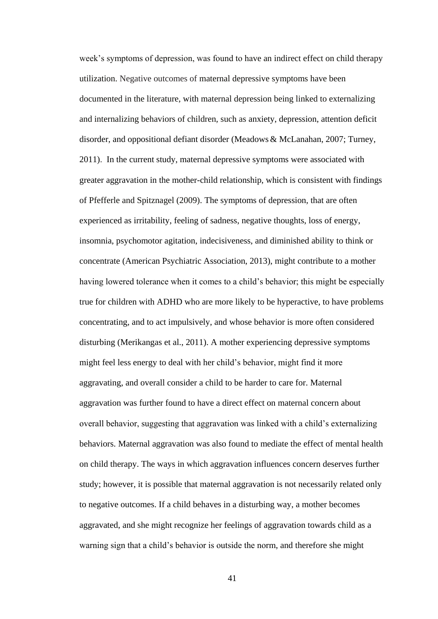week's symptoms of depression, was found to have an indirect effect on child therapy utilization. Negative outcomes of maternal depressive symptoms have been documented in the literature, with maternal depression being linked to externalizing and internalizing behaviors of children, such as anxiety, depression, attention deficit disorder, and oppositional defiant disorder (Meadows & McLanahan, 2007; Turney, 2011). In the current study, maternal depressive symptoms were associated with greater aggravation in the mother-child relationship, which is consistent with findings of Pfefferle and Spitznagel (2009). The symptoms of depression, that are often experienced as irritability, feeling of sadness, negative thoughts, loss of energy, insomnia, psychomotor agitation, indecisiveness, and diminished ability to think or concentrate (American Psychiatric Association, 2013), might contribute to a mother having lowered tolerance when it comes to a child's behavior; this might be especially true for children with ADHD who are more likely to be hyperactive, to have problems concentrating, and to act impulsively, and whose behavior is more often considered disturbing (Merikangas et al., 2011). A mother experiencing depressive symptoms might feel less energy to deal with her child's behavior, might find it more aggravating, and overall consider a child to be harder to care for. Maternal aggravation was further found to have a direct effect on maternal concern about overall behavior, suggesting that aggravation was linked with a child's externalizing behaviors. Maternal aggravation was also found to mediate the effect of mental health on child therapy. The ways in which aggravation influences concern deserves further study; however, it is possible that maternal aggravation is not necessarily related only to negative outcomes. If a child behaves in a disturbing way, a mother becomes aggravated, and she might recognize her feelings of aggravation towards child as a warning sign that a child's behavior is outside the norm, and therefore she might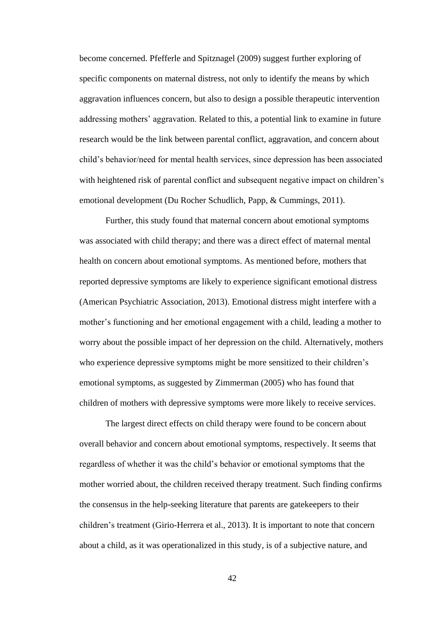become concerned. Pfefferle and Spitznagel (2009) suggest further exploring of specific components on maternal distress, not only to identify the means by which aggravation influences concern, but also to design a possible therapeutic intervention addressing mothers' aggravation. Related to this, a potential link to examine in future research would be the link between parental conflict, aggravation, and concern about child's behavior/need for mental health services, since depression has been associated with heightened risk of parental conflict and subsequent negative impact on children's emotional development (Du Rocher Schudlich, Papp, & Cummings, 2011).

Further, this study found that maternal concern about emotional symptoms was associated with child therapy; and there was a direct effect of maternal mental health on concern about emotional symptoms. As mentioned before, mothers that reported depressive symptoms are likely to experience significant emotional distress (American Psychiatric Association, 2013). Emotional distress might interfere with a mother's functioning and her emotional engagement with a child, leading a mother to worry about the possible impact of her depression on the child. Alternatively, mothers who experience depressive symptoms might be more sensitized to their children's emotional symptoms, as suggested by Zimmerman (2005) who has found that children of mothers with depressive symptoms were more likely to receive services.

The largest direct effects on child therapy were found to be concern about overall behavior and concern about emotional symptoms, respectively. It seems that regardless of whether it was the child's behavior or emotional symptoms that the mother worried about, the children received therapy treatment. Such finding confirms the consensus in the help-seeking literature that parents are gatekeepers to their children's treatment (Girio-Herrera et al., 2013). It is important to note that concern about a child, as it was operationalized in this study, is of a subjective nature, and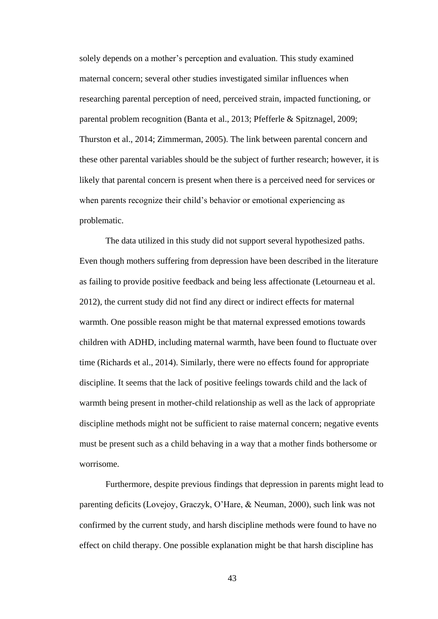solely depends on a mother's perception and evaluation. This study examined maternal concern; several other studies investigated similar influences when researching parental perception of need, perceived strain, impacted functioning, or parental problem recognition (Banta et al., 2013; Pfefferle & Spitznagel, 2009; Thurston et al., 2014; Zimmerman, 2005). The link between parental concern and these other parental variables should be the subject of further research; however, it is likely that parental concern is present when there is a perceived need for services or when parents recognize their child's behavior or emotional experiencing as problematic.

The data utilized in this study did not support several hypothesized paths. Even though mothers suffering from depression have been described in the literature as failing to provide positive feedback and being less affectionate (Letourneau et al. 2012), the current study did not find any direct or indirect effects for maternal warmth. One possible reason might be that maternal expressed emotions towards children with ADHD, including maternal warmth, have been found to fluctuate over time (Richards et al., 2014). Similarly, there were no effects found for appropriate discipline. It seems that the lack of positive feelings towards child and the lack of warmth being present in mother-child relationship as well as the lack of appropriate discipline methods might not be sufficient to raise maternal concern; negative events must be present such as a child behaving in a way that a mother finds bothersome or worrisome.

Furthermore, despite previous findings that depression in parents might lead to parenting deficits (Lovejoy, Graczyk, O'Hare, & Neuman, 2000), such link was not confirmed by the current study, and harsh discipline methods were found to have no effect on child therapy. One possible explanation might be that harsh discipline has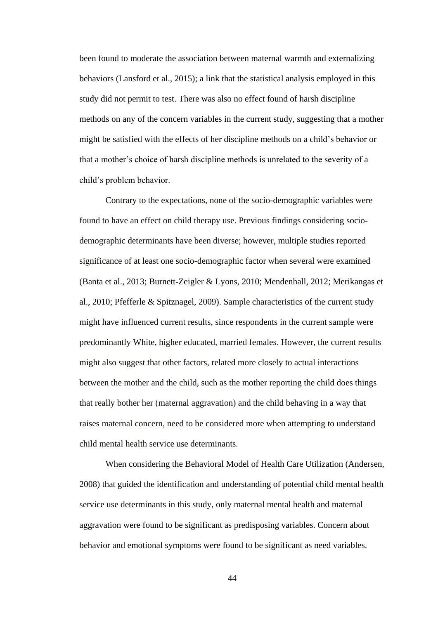been found to moderate the association between maternal warmth and externalizing behaviors (Lansford et al., 2015); a link that the statistical analysis employed in this study did not permit to test. There was also no effect found of harsh discipline methods on any of the concern variables in the current study, suggesting that a mother might be satisfied with the effects of her discipline methods on a child's behavior or that a mother's choice of harsh discipline methods is unrelated to the severity of a child's problem behavior.

Contrary to the expectations, none of the socio-demographic variables were found to have an effect on child therapy use. Previous findings considering sociodemographic determinants have been diverse; however, multiple studies reported significance of at least one socio-demographic factor when several were examined (Banta et al., 2013; Burnett-Zeigler & Lyons, 2010; Mendenhall, 2012; Merikangas et al., 2010; Pfefferle & Spitznagel, 2009). Sample characteristics of the current study might have influenced current results, since respondents in the current sample were predominantly White, higher educated, married females. However, the current results might also suggest that other factors, related more closely to actual interactions between the mother and the child, such as the mother reporting the child does things that really bother her (maternal aggravation) and the child behaving in a way that raises maternal concern, need to be considered more when attempting to understand child mental health service use determinants.

When considering the Behavioral Model of Health Care Utilization (Andersen, 2008) that guided the identification and understanding of potential child mental health service use determinants in this study, only maternal mental health and maternal aggravation were found to be significant as predisposing variables. Concern about behavior and emotional symptoms were found to be significant as need variables.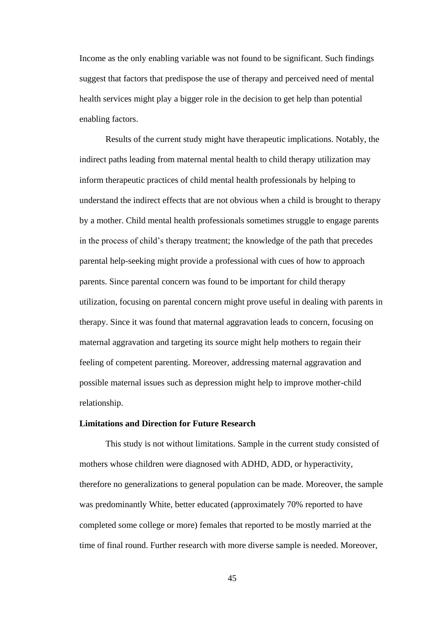Income as the only enabling variable was not found to be significant. Such findings suggest that factors that predispose the use of therapy and perceived need of mental health services might play a bigger role in the decision to get help than potential enabling factors.

Results of the current study might have therapeutic implications. Notably, the indirect paths leading from maternal mental health to child therapy utilization may inform therapeutic practices of child mental health professionals by helping to understand the indirect effects that are not obvious when a child is brought to therapy by a mother. Child mental health professionals sometimes struggle to engage parents in the process of child's therapy treatment; the knowledge of the path that precedes parental help-seeking might provide a professional with cues of how to approach parents. Since parental concern was found to be important for child therapy utilization, focusing on parental concern might prove useful in dealing with parents in therapy. Since it was found that maternal aggravation leads to concern, focusing on maternal aggravation and targeting its source might help mothers to regain their feeling of competent parenting. Moreover, addressing maternal aggravation and possible maternal issues such as depression might help to improve mother-child relationship.

# **Limitations and Direction for Future Research**

This study is not without limitations. Sample in the current study consisted of mothers whose children were diagnosed with ADHD, ADD, or hyperactivity, therefore no generalizations to general population can be made. Moreover, the sample was predominantly White, better educated (approximately 70% reported to have completed some college or more) females that reported to be mostly married at the time of final round. Further research with more diverse sample is needed. Moreover,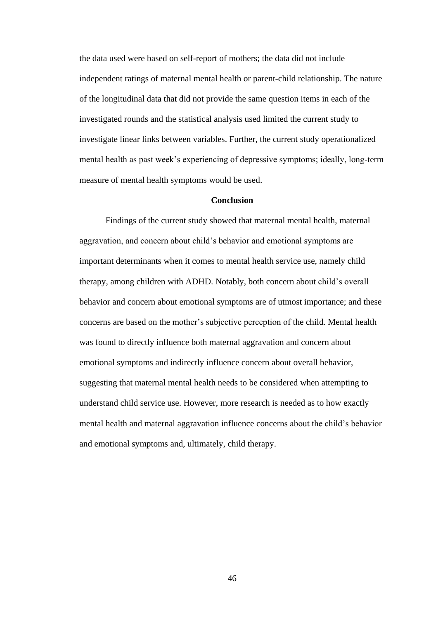the data used were based on self-report of mothers; the data did not include independent ratings of maternal mental health or parent-child relationship. The nature of the longitudinal data that did not provide the same question items in each of the investigated rounds and the statistical analysis used limited the current study to investigate linear links between variables. Further, the current study operationalized mental health as past week's experiencing of depressive symptoms; ideally, long-term measure of mental health symptoms would be used.

# **Conclusion**

Findings of the current study showed that maternal mental health, maternal aggravation, and concern about child's behavior and emotional symptoms are important determinants when it comes to mental health service use, namely child therapy, among children with ADHD. Notably, both concern about child's overall behavior and concern about emotional symptoms are of utmost importance; and these concerns are based on the mother's subjective perception of the child. Mental health was found to directly influence both maternal aggravation and concern about emotional symptoms and indirectly influence concern about overall behavior, suggesting that maternal mental health needs to be considered when attempting to understand child service use. However, more research is needed as to how exactly mental health and maternal aggravation influence concerns about the child's behavior and emotional symptoms and, ultimately, child therapy.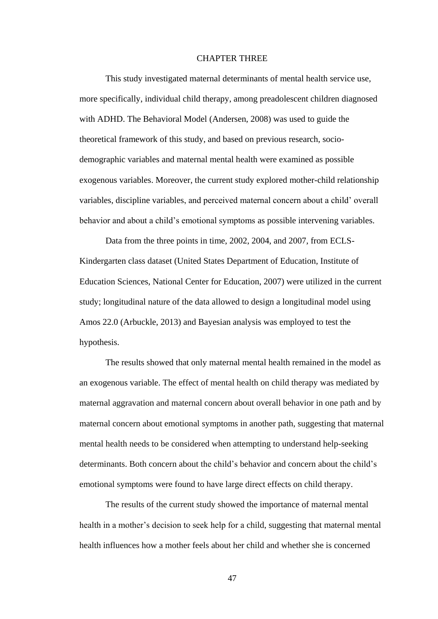# CHAPTER THREE

This study investigated maternal determinants of mental health service use, more specifically, individual child therapy, among preadolescent children diagnosed with ADHD. The Behavioral Model (Andersen, 2008) was used to guide the theoretical framework of this study, and based on previous research, sociodemographic variables and maternal mental health were examined as possible exogenous variables. Moreover, the current study explored mother-child relationship variables, discipline variables, and perceived maternal concern about a child' overall behavior and about a child's emotional symptoms as possible intervening variables.

Data from the three points in time, 2002, 2004, and 2007, from ECLS-Kindergarten class dataset [\(United States Department of Education, Institute of](#page-58-0)  [Education Sciences, National Center for Education, 200](#page-58-0)7) were utilized in the current study; longitudinal nature of the data allowed to design a longitudinal model using Amos 22.0 (Arbuckle, 2013) and Bayesian analysis was employed to test the hypothesis.

The results showed that only maternal mental health remained in the model as an exogenous variable. The effect of mental health on child therapy was mediated by maternal aggravation and maternal concern about overall behavior in one path and by maternal concern about emotional symptoms in another path, suggesting that maternal mental health needs to be considered when attempting to understand help-seeking determinants. Both concern about the child's behavior and concern about the child's emotional symptoms were found to have large direct effects on child therapy.

The results of the current study showed the importance of maternal mental health in a mother's decision to seek help for a child, suggesting that maternal mental health influences how a mother feels about her child and whether she is concerned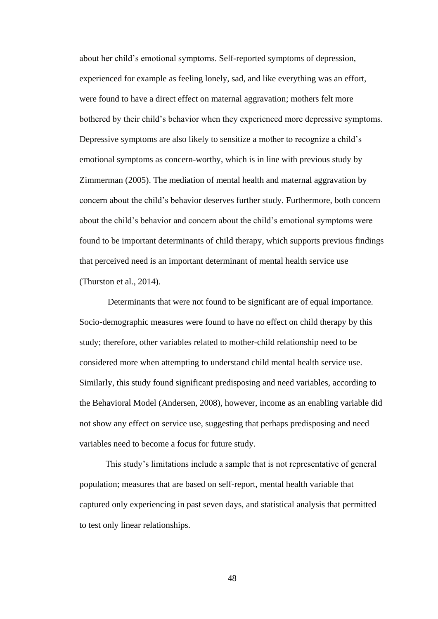about her child's emotional symptoms. Self-reported symptoms of depression, experienced for example as feeling lonely, sad, and like everything was an effort, were found to have a direct effect on maternal aggravation; mothers felt more bothered by their child's behavior when they experienced more depressive symptoms. Depressive symptoms are also likely to sensitize a mother to recognize a child's emotional symptoms as concern-worthy, which is in line with previous study by Zimmerman (2005). The mediation of mental health and maternal aggravation by concern about the child's behavior deserves further study. Furthermore, both concern about the child's behavior and concern about the child's emotional symptoms were found to be important determinants of child therapy, which supports previous findings that perceived need is an important determinant of mental health service use (Thurston et al., 2014).

Determinants that were not found to be significant are of equal importance. Socio-demographic measures were found to have no effect on child therapy by this study; therefore, other variables related to mother-child relationship need to be considered more when attempting to understand child mental health service use. Similarly, this study found significant predisposing and need variables, according to the Behavioral Model (Andersen, 2008), however, income as an enabling variable did not show any effect on service use, suggesting that perhaps predisposing and need variables need to become a focus for future study.

This study's limitations include a sample that is not representative of general population; measures that are based on self-report, mental health variable that captured only experiencing in past seven days, and statistical analysis that permitted to test only linear relationships.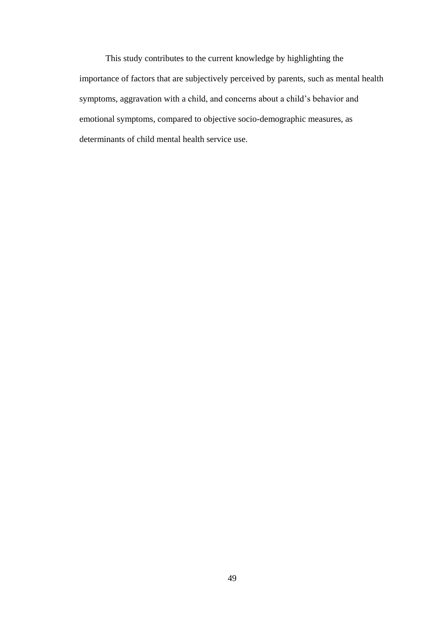This study contributes to the current knowledge by highlighting the importance of factors that are subjectively perceived by parents, such as mental health symptoms, aggravation with a child, and concerns about a child's behavior and emotional symptoms, compared to objective socio-demographic measures, as determinants of child mental health service use.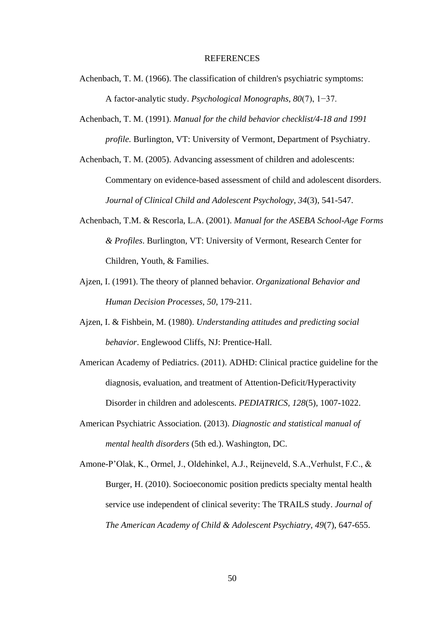#### REFERENCES

- Achenbach, T. M. (1966). The classification of children's psychiatric symptoms: A factor-analytic study. *Psychological Monographs, 80*(7), 1−37.
- Achenbach, T. M. (1991). *Manual for the child behavior checklist/4-18 and 1991 profile.* Burlington, VT: University of Vermont, Department of Psychiatry.

Achenbach, T. M. (2005). Advancing assessment of children and adolescents: Commentary on evidence-based assessment of child and adolescent disorders. *Journal of Clinical Child and Adolescent Psychology, 34*(3), 541-547.

- Achenbach, T.M. & Rescorla, L.A. (2001). *Manual for the ASEBA School-Age Forms & Profiles*. Burlington, VT: University of Vermont, Research Center for Children, Youth, & Families.
- Ajzen, I. (1991). The theory of planned behavior. *Organizational Behavior and Human Decision Processes*, *50*, 179-211.
- Ajzen, I. & Fishbein, M. (1980). *Understanding attitudes and predicting social behavior*. Englewood Cliffs, NJ: Prentice-Hall.
- American Academy of Pediatrics. (2011). ADHD: Clinical practice guideline for the diagnosis, evaluation, and treatment of Attention-Deficit/Hyperactivity Disorder in children and adolescents. *PEDIATRICS, 128*(5), 1007-1022.
- American Psychiatric Association. (2013). *Diagnostic and statistical manual of mental health disorders* (5th ed.). Washington, DC.
- <span id="page-58-0"></span>Amone-P'Olak, K., Ormel, J., Oldehinkel, A.J., Reijneveld, S.A.,Verhulst, F.C., & Burger, H. (2010). Socioeconomic position predicts specialty mental health service use independent of clinical severity: The TRAILS study. *Journal of The American Academy of Child & Adolescent Psychiatry, 49*(7), 647-655.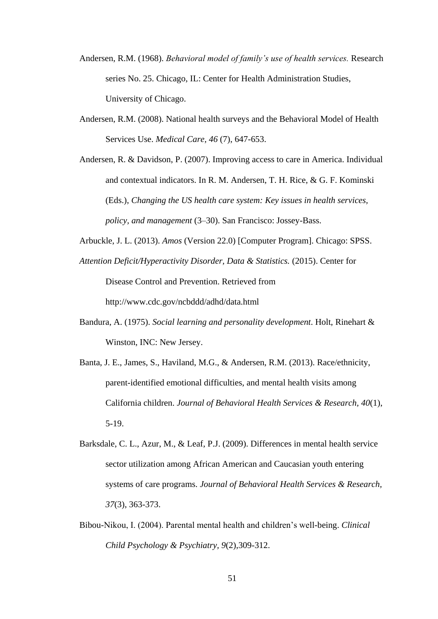- Andersen, R.M. (1968). *Behavioral model of family's use of health services.* Research series No. 25. Chicago, IL: Center for Health Administration Studies, University of Chicago.
- Andersen, R.M. (2008). National health surveys and the Behavioral Model of Health Services Use. *Medical Care, 46* (7), 647-653.
- Andersen, R. & Davidson, P. (2007). Improving access to care in America. Individual and contextual indicators. In R. M. Andersen, T. H. Rice, & G. F. Kominski (Eds.), *Changing the US health care system: Key issues in health services, policy, and management* (3–30). San Francisco: Jossey-Bass.
- Arbuckle, J. L. (2013). *Amos* (Version 22.0) [Computer Program]. Chicago: SPSS.
- *Attention Deficit/Hyperactivity Disorder, Data & Statistics.* (2015). Center for

Disease Control and Prevention. Retrieved from

http://www.cdc.gov/ncbddd/adhd/data.html

- Bandura, A. (1975). *Social learning and personality development*. Holt, Rinehart & Winston, INC: New Jersey.
- Banta, J. E., James, S., Haviland, M.G., & Andersen, R.M. (2013). Race/ethnicity, parent-identified emotional difficulties, and mental health visits among California children. *Journal of Behavioral Health Services & Research, 40*(1), 5-19.
- Barksdale, C. L., Azur, M., & Leaf, P.J. (2009). Differences in mental health service sector utilization among African American and Caucasian youth entering systems of care programs. *Journal of Behavioral Health Services & Research, 37*(3), 363-373.
- Bibou-Nikou, I. (2004). Parental mental health and children's well-being. *Clinical Child Psychology & Psychiatry, 9*(2),309-312.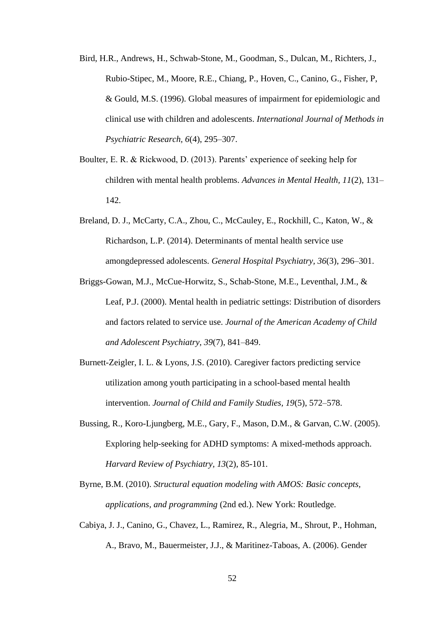- Bird, H.R., Andrews, H., Schwab-Stone, M., Goodman, S., Dulcan, M., Richters, J., Rubio-Stipec, M., Moore, R.E., Chiang, P., Hoven, C., Canino, G., Fisher, P, & Gould, M.S. (1996). Global measures of impairment for epidemiologic and clinical use with children and adolescents. *International Journal of Methods in Psychiatric Research, 6*(4), 295–307.
- Boulter, E. R. & Rickwood, D. (2013). Parents' experience of seeking help for children with mental health problems. *Advances in Mental Health, 11*(2), 131– 142.
- Breland, D. J., McCarty, C.A., Zhou, C., McCauley, E., Rockhill, C., Katon, W., & Richardson, L.P. (2014). Determinants of mental health service use amongdepressed adolescents. *General Hospital Psychiatry, 36*(3), 296–301.
- Briggs-Gowan, M.J., McCue-Horwitz, S., Schab-Stone, M.E., Leventhal, J.M., & Leaf, P.J. (2000). Mental health in pediatric settings: Distribution of disorders and factors related to service use. *Journal of the American Academy of Child and Adolescent Psychiatry, 39*(7), 841–849.
- Burnett-Zeigler, I. L. & Lyons, J.S. (2010). Caregiver factors predicting service utilization among youth participating in a school-based mental health intervention. *Journal of Child and Family Studies, 19*(5), 572–578.
- Bussing, R., Koro-Ljungberg, M.E., Gary, F., Mason, D.M., & Garvan, C.W. (2005). Exploring help-seeking for ADHD symptoms: A mixed-methods approach. *[Harvard Review of Psychiatry,](http://www.researchgate.net/journal/1067-3229_Harvard_Review_of_Psychiatry) 13*(2), 85-101.
- Byrne, B.M. (2010). *Structural equation modeling with AMOS: Basic concepts, applications, and programming* (2nd ed.). New York: Routledge.
- Cabiya, J. J., Canino, G., Chavez, L., Ramirez, R., Alegria, M., Shrout, P., Hohman, A., Bravo, M., Bauermeister, J.J., & Maritinez-Taboas, A. (2006). Gender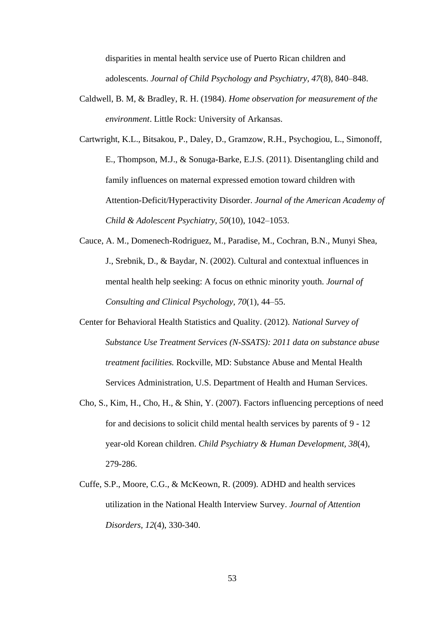disparities in mental health service use of Puerto Rican children and adolescents. *Journal of Child Psychology and Psychiatry, 47*(8), 840–848.

- Caldwell, B. M, & Bradley, R. H. (1984). *Home observation for measurement of the environment*. Little Rock: University of Arkansas.
- Cartwright, K.L., Bitsakou, P., Daley, D., Gramzow, R.H., Psychogiou, L., Simonoff, E., Thompson, M.J., & Sonuga-Barke, E.J.S. (2011). Disentangling child and family influences on maternal expressed emotion toward children with Attention-Deficit/Hyperactivity Disorder. *Journal of the American Academy of Child & Adolescent Psychiatry, 50*(10), 1042–1053.
- Cauce, A. M., Domenech-Rodriguez, M., Paradise, M., Cochran, B.N., Munyi Shea, J., Srebnik, D., & Baydar, N. (2002). Cultural and contextual influences in mental health help seeking: A focus on ethnic minority youth. *Journal of Consulting and Clinical Psychology, 70*(1), 44–55.
- Center for Behavioral Health Statistics and Quality. (2012). *National Survey of Substance Use Treatment Services (N-SSATS): 2011 data on substance abuse treatment facilities.* Rockville, MD: Substance Abuse and Mental Health Services Administration, U.S. Department of Health and Human Services.
- Cho, S., Kim, H., Cho, H., & Shin, Y. (2007). Factors influencing perceptions of need for and decisions to solicit child mental health services by parents of 9 - 12 year-old Korean children. *Child Psychiatry & Human Development, 38*(4), 279-286.
- Cuffe, S.P., Moore, C.G., & McKeown, R. (2009). ADHD and health services utilization in the National Health Interview Survey. *Journal of Attention Disorders, 12*(4), 330-340.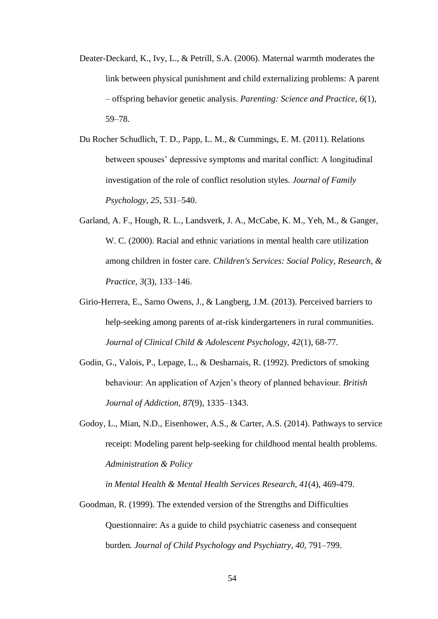- Deater-Deckard, K., Ivy, L., & Petrill, S.A. (2006). Maternal warmth moderates the link between physical punishment and child externalizing problems: A parent – offspring behavior genetic analysis. *Parenting: Science and Practice, 6*(1), 59–78.
- Du Rocher Schudlich, T. D., Papp, L. M., & Cummings, E. M. (2011). Relations between spouses' depressive symptoms and marital conflict: A longitudinal investigation of the role of conflict resolution styles*. Journal of Family Psychology, 25*, 531–540.
- Garland, A. F., Hough, R. L., Landsverk, J. A., McCabe, K. M., Yeh, M., & Ganger, W. C. (2000). Racial and ethnic variations in mental health care utilization among children in foster care. *Children's Services: Social Policy, Research, & Practice, 3*(3), 133–146.
- Girio-Herrera, E., Sarno Owens, J., & Langberg, J.M. (2013). Perceived barriers to help-seeking among parents of at-risk kindergarteners in rural communities. *Journal of Clinical Child & Adolescent Psychology, 42*(1), 68-77.
- Godin, G., Valois, P., Lepage, L., & Desharnais, R. (1992). Predictors of smoking behaviour: An application of Azjen's theory of planned behaviour. *British Journal of Addiction, 87*(9), 1335–1343.
- Godoy, L., Mian, N.D., Eisenhower, A.S., & Carter, A.S. (2014). Pathways to service receipt: Modeling parent help-seeking for childhood mental health problems. *[Administration](javascript:__doLinkPostBack() & Policy*

*in Mental Health & Mental Health Services [Research,](javascript:__doLinkPostBack() 41*(4), 469-479.

Goodman, R. (1999). The extended version of the Strengths and Difficulties Questionnaire: As a guide to child psychiatric caseness and consequent burden*. Journal of Child Psychology and Psychiatry, 40*, 791–799.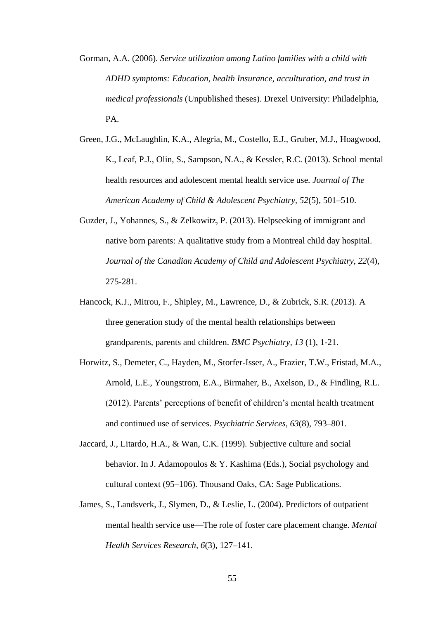- Gorman, A.A. (2006). *Service utilization among Latino families with a child with ADHD symptoms: Education, health Insurance, acculturation, and trust in medical professionals* (Unpublished theses). Drexel University: Philadelphia, PA.
- Green, J.G., McLaughlin, K.A., Alegria, M., Costello, E.J., Gruber, M.J., Hoagwood, K., Leaf, P.J., Olin, S., Sampson, N.A., & Kessler, R.C. (2013). School mental health resources and adolescent mental health service use. *Journal of The American Academy of Child & Adolescent Psychiatry, 52*(5), 501–510.
- Guzder, J., Yohannes, S., & Zelkowitz, P. (2013). Helpseeking of immigrant and native born parents: A qualitative study from a Montreal child day hospital. *Journal of the Canadian Academy of Child and Adolescent Psychiatry, 22*(4), 275-281.
- Hancock, K.J., Mitrou, F., Shipley, M., Lawrence, D., & Zubrick, S.R. (2013). A three generation study of the mental health relationships between grandparents, parents and children. *BMC Psychiatry, 13* (1), 1-21.
- Horwitz, S., Demeter, C., Hayden, M., Storfer-Isser, A., Frazier, T.W., Fristad, M.A., Arnold, L.E., Youngstrom, E.A., Birmaher, B., Axelson, D., & Findling, R.L. (2012). Parents' perceptions of benefit of children's mental health treatment and continued use of services. *Psychiatric Services, 63*(8), 793–801.
- Jaccard, J., Litardo, H.A., & Wan, C.K. (1999). Subjective culture and social behavior. In J. Adamopoulos & Y. Kashima (Eds.), Social psychology and cultural context (95–106). Thousand Oaks, CA: Sage Publications.
- James, S., Landsverk, J., Slymen, D., & Leslie, L. (2004). Predictors of outpatient mental health service use—The role of foster care placement change. *Mental Health Services Research, 6*(3), 127–141.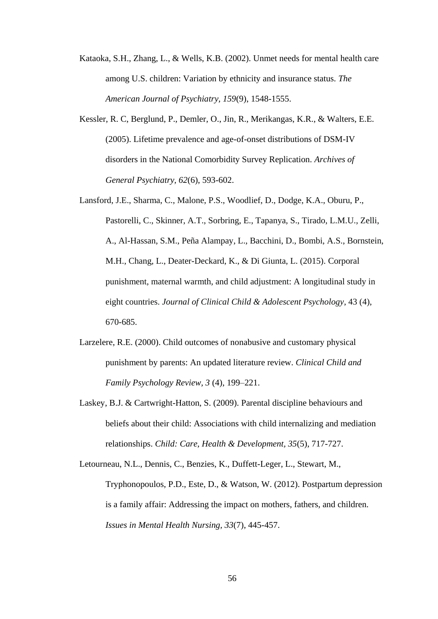- Kataoka, S.H., Zhang, L., & Wells, K.B. (2002). Unmet needs for mental health care among U.S. children: Variation by ethnicity and insurance status. *The American Journal of Psychiatry, 159*(9), 1548-1555.
- [Kessler, R. C,](http://www.ncbi.nlm.nih.gov/pubmed?term=Kessler%20RC%5BAuthor%5D&cauthor=true&cauthor_uid=15939837) [Berglund, P.](http://www.ncbi.nlm.nih.gov/pubmed?term=Berglund%20P%5BAuthor%5D&cauthor=true&cauthor_uid=15939837), [Demler, O.](http://www.ncbi.nlm.nih.gov/pubmed?term=Demler%20O%5BAuthor%5D&cauthor=true&cauthor_uid=15939837), [Jin, R.](http://www.ncbi.nlm.nih.gov/pubmed?term=Jin%20R%5BAuthor%5D&cauthor=true&cauthor_uid=15939837), [Merikangas, K.R.](http://www.ncbi.nlm.nih.gov/pubmed?term=Merikangas%20KR%5BAuthor%5D&cauthor=true&cauthor_uid=15939837), & [Walters, E.E.](http://www.ncbi.nlm.nih.gov/pubmed?term=Walters%20EE%5BAuthor%5D&cauthor=true&cauthor_uid=15939837) (2005). Lifetime prevalence and age-of-onset distributions of DSM-IV disorders in the National Comorbidity Survey Replication. *Archives of General Psychiatry, 62*(6), 593-602.
- Lansford, J.E., Sharma, C., Malone, P.S., Woodlief, D., Dodge, K.A., Oburu, P., Pastorelli, C., Skinner, A.T., Sorbring, E., Tapanya, S., Tirado, L.M.U., Zelli, A., Al-Hassan, S.M., Peña Alampay, L., Bacchini, D., Bombi, A.S., Bornstein, M.H., Chang, L., Deater-Deckard, K., & Di Giunta, L. (2015). Corporal punishment, maternal warmth, and child adjustment: A longitudinal study in eight countries. *Journal of Clinical Child & Adolescent Psychology*, 43 (4), 670-685.
- Larzelere, R.E. (2000). Child outcomes of nonabusive and customary physical punishment by parents: An updated literature review. *Clinical Child and Family Psychology Review, 3* (4), 199–221.
- Laskey, B.J. & Cartwright-Hatton, S. (2009). Parental discipline behaviours and beliefs about their child: Associations with child internalizing and mediation relationships. *Child: Care, Health & Development, 35*(5), 717-727.

Letourneau, N.L., Dennis, C., Benzies, K., Duffett-Leger, L., Stewart, M., Tryphonopoulos, P.D., Este, D., & Watson, W. (2012). Postpartum depression is a family affair: Addressing the impact on mothers, fathers, and children. *Issues in Mental Health Nursing, 33*(7), 445-457.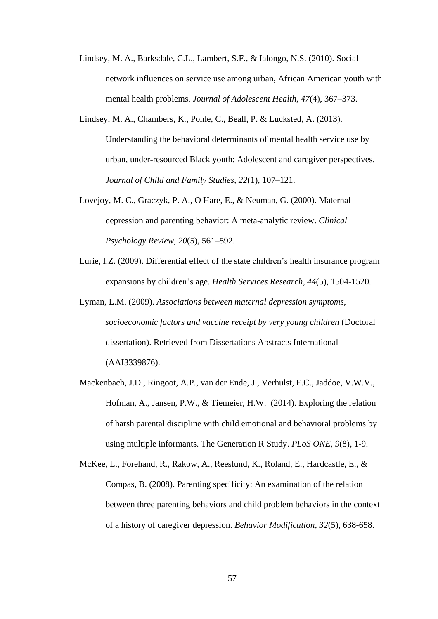- Lindsey, M. A., Barksdale, C.L., Lambert, S.F., & Ialongo, N.S. (2010). Social network influences on service use among urban, African American youth with mental health problems. *Journal of Adolescent Health, 47*(4), 367–373.
- Lindsey, M. A., Chambers, K., Pohle, C., Beall, P. & Lucksted, A. (2013). Understanding the behavioral determinants of mental health service use by urban, under-resourced Black youth: Adolescent and caregiver perspectives. *Journal of Child and Family Studies, 22*(1), 107–121.
- Lovejoy, M. C., Graczyk, P. A., O Hare, E., & Neuman, G. (2000). Maternal depression and parenting behavior: A meta-analytic review. *Clinical Psychology Review, 20*(5), 561–592.
- Lurie, I.Z. (2009). Differential effect of the state children's health insurance program expansions by children's age. *Health Services [Research,](javascript:__doLinkPostBack() 44*(5), 1504-1520.
- Lyman, L.M. (2009). *Associations between maternal depression symptoms, socioeconomic factors and vaccine receipt by very young children* (Doctoral dissertation). Retrieved from Dissertations Abstracts International (AAI3339876).
- Mackenbach, J.D., Ringoot, A.P., van der Ende, J., Verhulst, F.C., Jaddoe, V.W.V., Hofman, A., Jansen, P.W., & Tiemeier, H.W. (2014). Exploring the relation of harsh parental discipline with child emotional and behavioral problems by using multiple informants. The Generation R Study. *PLoS ONE, 9*(8), 1-9.
- McKee, L., Forehand, R., Rakow, A., Reeslund, K., Roland, E., Hardcastle, E., & Compas, B. (2008). Parenting specificity: An examination of the relation between three parenting behaviors and child problem behaviors in the context of a history of caregiver depression. *Behavior Modification, 32*(5), 638-658.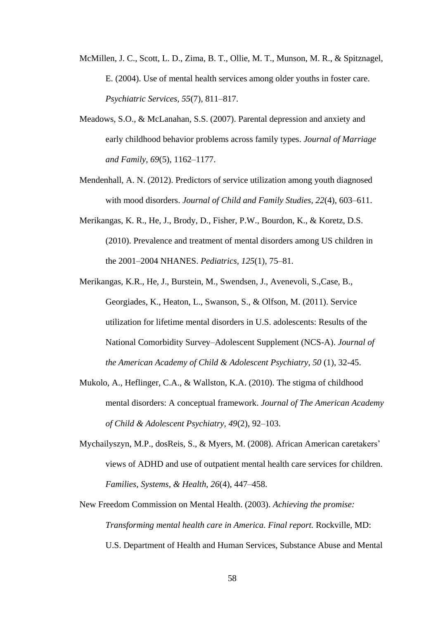- McMillen, J. C., Scott, L. D., Zima, B. T., Ollie, M. T., Munson, M. R., & Spitznagel, E. (2004). Use of mental health services among older youths in foster care. *Psychiatric Services, 55*(7), 811–817.
- Meadows, S.O., & McLanahan, S.S. (2007). Parental depression and anxiety and early childhood behavior problems across family types. *Journal of Marriage and Family, 69*(5), 1162–1177.
- Mendenhall, A. N. (2012). Predictors of service utilization among youth diagnosed with mood disorders. *Journal of Child and Family Studies, 22*(4), 603–611.
- Merikangas, K. R., He, J., Brody, D., Fisher, P.W., Bourdon, K., & Koretz, D.S. (2010). Prevalence and treatment of mental disorders among US children in the 2001–2004 NHANES. *Pediatrics, 125*(1), 75–81.
- Merikangas, K.R., He, J., Burstein, M., Swendsen, J., Avenevoli, S.,Case, B., Georgiades, K., Heaton, L., Swanson, S., & Olfson, M. (2011). Service utilization for lifetime mental disorders in U.S. adolescents: Results of the National Comorbidity Survey–Adolescent Supplement (NCS-A). *Journal of the American Academy of Child & Adolescent Psychiatry, 50* (1), 32-45.
- Mukolo, A., Heflinger, C.A., & Wallston, K.A. (2010). The stigma of childhood mental disorders: A conceptual framework. *Journal of The American Academy of Child & Adolescent Psychiatry, 49*(2), 92–103.
- Mychailyszyn, M.P., dosReis, S., & Myers, M. (2008). African American caretakers' views of ADHD and use of outpatient mental health care services for children. *Families, Systems, & Health, 26*(4), 447–458.
- New Freedom Commission on Mental Health. (2003). *Achieving the promise: Transforming mental health care in America. Final report.* Rockville, MD: U.S. Department of Health and Human Services, Substance Abuse and Mental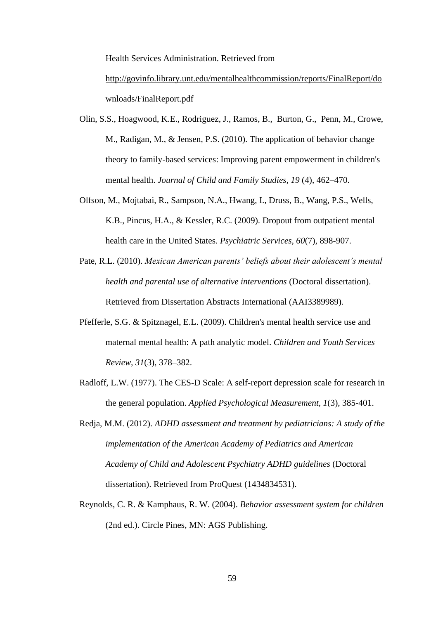Health Services Administration. Retrieved from

[http://govinfo.library.unt.edu/mentalhealthcommission/reports/FinalReport/do](http://govinfo.library.unt.edu/mentalhealthcommission/reports/FinalReport/downloads/FinalReport.pdf) [wnloads/FinalReport.pdf](http://govinfo.library.unt.edu/mentalhealthcommission/reports/FinalReport/downloads/FinalReport.pdf)

- Olin, S.S., [Hoagwood,](http://www.ncbi.nlm.nih.gov/pubmed/?term=Hoagwood%20KE%5Bauth%5D) K.E., [Rodriguez,](http://www.ncbi.nlm.nih.gov/pubmed/?term=Rodriguez%20J%5Bauth%5D) J., [Ramos,](http://www.ncbi.nlm.nih.gov/pubmed/?term=Ramos%20B%5Bauth%5D) B., [Burton,](http://www.ncbi.nlm.nih.gov/pubmed/?term=Burton%20G%5Bauth%5D) G., [Penn,](http://www.ncbi.nlm.nih.gov/pubmed/?term=Penn%20M%5Bauth%5D) M., [Crowe,](http://www.ncbi.nlm.nih.gov/pubmed/?term=Crowe%20M%5Bauth%5D) M., [Radigan,](http://www.ncbi.nlm.nih.gov/pubmed/?term=Radigan%20M%5Bauth%5D) M., & [Jensen,](http://www.ncbi.nlm.nih.gov/pubmed/?term=Jensen%20PS%5Bauth%5D) P.S. (2010). The application of behavior change theory to family-based services: Improving parent empowerment in children's mental health. *Journal of Child and Family Studies, 19* (4), 462–470.
- Olfson, M., Mojtabai, R., Sampson, N.A., Hwang, I., Druss, B., Wang, P.S., Wells, K.B., Pincus, H.A., & Kessler, R.C. (2009). Dropout from outpatient mental health care in the United States. *Psychiatric Services, 60*(7), 898-907.
- Pate, R.L. (2010). *Mexican American parents' beliefs about their adolescent's mental health and parental use of alternative interventions* (Doctoral dissertation). Retrieved from Dissertation Abstracts International (AAI3389989).
- Pfefferle, S.G. & Spitznagel, E.L. (2009). Children's mental health service use and maternal mental health: A path analytic model. *Children and Youth Services Review, 31*(3), 378–382.
- Radloff, L.W. (1977). The CES-D Scale: A self-report depression scale for research in the general population. *Applied Psychological Measurement, 1*(3), 385-401.
- Redja, M.M. (2012). *ADHD assessment and treatment by pediatricians: A study of the implementation of the American Academy of Pediatrics and American Academy of Child and Adolescent Psychiatry ADHD guidelines* (Doctoral dissertation). Retrieved from ProQuest (1434834531).
- Reynolds, C. R. & Kamphaus, R. W. (2004). *Behavior assessment system for children* (2nd ed.). Circle Pines, MN: AGS Publishing.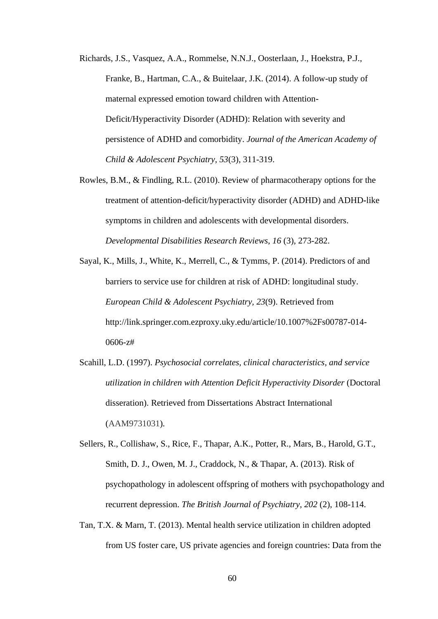- Richards, J.S., Vasquez, A.A., Rommelse, N.N.J., Oosterlaan, J., Hoekstra, P.J., Franke, B., Hartman, C.A., & Buitelaar, J.K. (2014). A follow-up study of maternal expressed emotion toward children with Attention-Deficit/Hyperactivity Disorder (ADHD): Relation with severity and persistence of ADHD and comorbidity. *Journal of the American Academy of Child & Adolescent Psychiatry, 53*(3), 311-319.
- Rowles, B.M., & Findling, R.L. (2010). Review of pharmacotherapy options for the treatment of attention-deficit/hyperactivity disorder (ADHD) and ADHD**-**like symptoms in children and adolescents with developmental disorders. *[Developmental](javascript:__doLinkPostBack() Disabilities Research Reviews, 16* (3), 273-282.
- Sayal, K., Mills, J., White, K., Merrell, C., & Tymms, P. (2014). Predictors of and barriers to service use for children at risk of ADHD: longitudinal study. *European Child & Adolescent Psychiatry, 23*(9). Retrieved from http://link.springer.com.ezproxy.uky.edu/article/10.1007%2Fs00787-014- 0606-z#
- Scahill, L.D. (1997). *Psychosocial correlates, clinical characteristics, and service utilization in children with Attention Deficit Hyperactivity Disorder* (Doctoral disseration). Retrieved from Dissertations Abstract International (AAM9731031)*.*
- Sellers, R., [Collishaw,](javascript:__doLinkPostBack() S., [Rice,](javascript:__doLinkPostBack() F., [Thapar,](javascript:__doLinkPostBack() A.K., Potter, R., Mars, B., [Harold,](javascript:__doLinkPostBack() G.T., [Smith,](javascript:__doLinkPostBack() D. J., [Owen,](javascript:__doLinkPostBack() M. J., Craddock, N., & Thapar, A. (2013). Risk of psychopathology in adolescent offspring of mothers with psychopathology and recurrent depression. *The British Journal of [Psychiatry,](javascript:__doLinkPostBack() 202* (2), 108-114.
- Tan, T.X. & Marn, T. (2013). Mental health service utilization in children adopted from US foster care, US private agencies and foreign countries: Data from the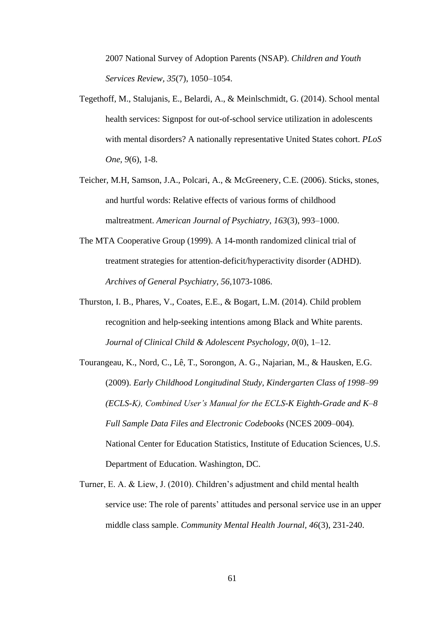2007 National Survey of Adoption Parents (NSAP). *Children and Youth Services Review, 35*(7), 1050–1054.

- Tegethoff, M., Stalujanis, E., Belardi, A., & Meinlschmidt, G. (2014). School mental health services: Signpost for out-of-school service utilization in adolescents with mental disorders? A nationally representative United States cohort. *PLoS One, 9*(6), 1-8.
- Teicher, M.H, Samson, J.A., Polcari, A., & McGreenery, C.E. (2006). Sticks, stones, and hurtful words: Relative effects of various forms of childhood maltreatment. *American Journal of Psychiatry, 163*(3), 993–1000.
- The MTA Cooperative Group (1999). A 14-month randomized clinical trial of treatment strategies for attention-deficit/hyperactivity disorder (ADHD). *Archives of General Psychiatry, 56,*1073-1086.
- Thurston, I. B., Phares, V., Coates, E.E., & Bogart, L.M. (2014). Child problem recognition and help-seeking intentions among Black and White parents. *Journal of Clinical Child & Adolescent Psychology, 0*(0), 1–12.
- Tourangeau, K., Nord, C., Lê, T., Sorongon, A. G., Najarian, M., & Hausken, E.G. (2009). *Early Childhood Longitudinal Study, Kindergarten Class of 1998–99 (ECLS-K), Combined User's Manual for the ECLS-K Eighth-Grade and K–8 Full Sample Data Files and Electronic Codebooks* (NCES 2009–004)*.*  National Center for Education Statistics, Institute of Education Sciences, U.S. Department of Education. Washington, DC.
- Turner, E. A. & Liew, J. (2010). Children's adjustment and child mental health service use: The role of parents' attitudes and personal service use in an upper middle class sample. *Community Mental Health Journal, 46*(3), 231-240.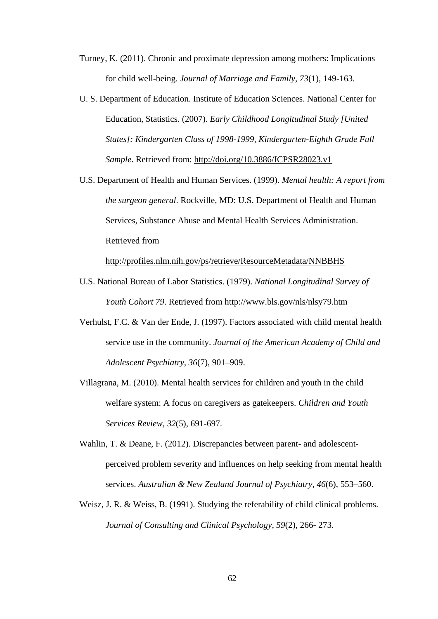- Turney, K. (2011). Chronic and proximate depression among mothers: Implications for child well-being. *Journal of Marriage and Family, 73*(1), 149-163.
- U. S. Department of Education. Institute of Education Sciences. National Center for Education, Statistics. (2007). *Early Childhood Longitudinal Study [United States]: Kindergarten Class of 1998-1999, Kindergarten-Eighth Grade Full Sample*. Retrieved from:<http://doi.org/10.3886/ICPSR28023.v1>
- U.S. Department of Health and Human Services. (1999). *Mental health: A report from the surgeon general*. Rockville, MD: U.S. Department of Health and Human Services, Substance Abuse and Mental Health Services Administration. Retrieved from

<http://profiles.nlm.nih.gov/ps/retrieve/ResourceMetadata/NNBBHS>

- U.S. National Bureau of Labor Statistics. (1979). *National Longitudinal Survey of Youth Cohort 79*. Retrieved from<http://www.bls.gov/nls/nlsy79.htm>
- Verhulst, F.C. & Van der Ende, J. (1997). Factors associated with child mental health service use in the community. *Journal of the American Academy of Child and Adolescent Psychiatry, 36*(7), 901–909.
- Villagrana, M. (2010). Mental health services for children and youth in the child welfare system: A focus on caregivers as gatekeepers. *Children and Youth Services Review, 32*(5), 691-697.
- Wahlin, T. & Deane, F. (2012). Discrepancies between parent- and adolescentperceived problem severity and influences on help seeking from mental health services. *Australian & New Zealand Journal of Psychiatry, 46*(6), 553–560.
- Weisz, J. R. & Weiss, B. (1991). Studying the referability of child clinical problems. *Journal of Consulting and Clinical Psychology, 59*(2), 266- 273.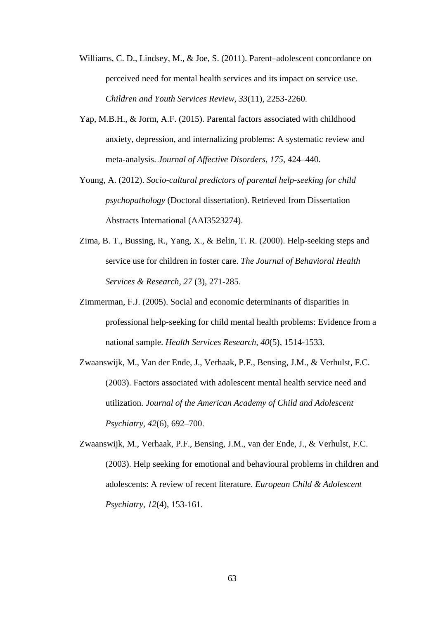- Williams, C. D., Lindsey, M., & Joe, S. (2011). Parent–adolescent concordance on perceived need for mental health services and its impact on service use. *Children and Youth Services Review, 33*(11), 2253-2260.
- Yap, M.B.H., & Jorm, A.F. (2015). Parental factors associated with childhood anxiety, depression, and internalizing problems: A systematic review and meta-analysis. *Journal of Affective Disorders, 175*, 424–440.
- Young, A. (2012). *Socio-cultural predictors of parental help-seeking for child psychopathology* (Doctoral dissertation). Retrieved from Dissertation Abstracts International (AAI3523274).
- Zima, B. T., Bussing, R., Yang, X., & Belin, T. R. (2000). Help-seeking steps and service use for children in foster care. *The Journal of Behavioral Health Services & Research, 27* (3), 271-285.
- Zimmerman, F.J. (2005). Social and economic determinants of disparities in professional help-seeking for child mental health problems: Evidence from a national sample. *Health Services Research, 40*(5), 1514-1533.
- Zwaanswijk, M., Van der Ende, J., Verhaak, P.F., Bensing, J.M., & Verhulst, F.C. (2003). Factors associated with adolescent mental health service need and utilization. *Journal of the American Academy of Child and Adolescent Psychiatry, 42*(6), 692–700.
- Zwaanswijk, M., Verhaak, P.F., Bensing, J.M., van der Ende, J., & Verhulst, F.C. (2003). Help seeking for emotional and behavioural problems in children and adolescents: A review of recent literature. *European Child & Adolescent Psychiatry, 12*(4), 153-161.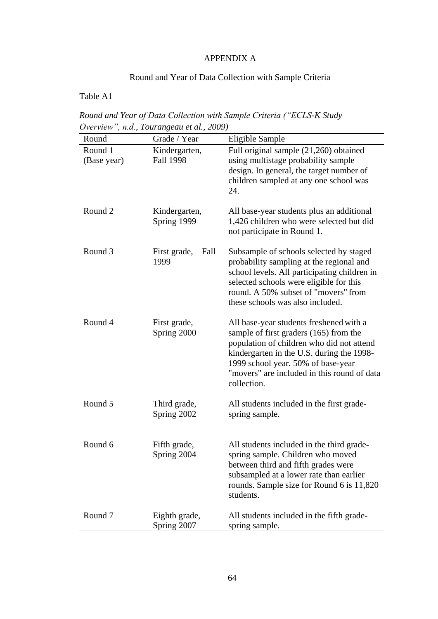#### APPENDIX A

# Round and Year of Data Collection with Sample Criteria

#### Table A1

*Round and Year of Data Collection with Sample Criteria ("ECLS-K Study Overview", n.d., Tourangeau et al., 2009)*

| Round                  | Grade / Year                      | Eligible Sample                                                                                                                                                                                                                                                                 |
|------------------------|-----------------------------------|---------------------------------------------------------------------------------------------------------------------------------------------------------------------------------------------------------------------------------------------------------------------------------|
| Round 1<br>(Base year) | Kindergarten,<br><b>Fall 1998</b> | Full original sample (21,260) obtained<br>using multistage probability sample<br>design. In general, the target number of<br>children sampled at any one school was<br>24.                                                                                                      |
| Round <sub>2</sub>     | Kindergarten,<br>Spring 1999      | All base-year students plus an additional<br>1,426 children who were selected but did<br>not participate in Round 1.                                                                                                                                                            |
| Round 3                | First grade,<br>Fall<br>1999      | Subsample of schools selected by staged<br>probability sampling at the regional and<br>school levels. All participating children in<br>selected schools were eligible for this<br>round. A 50% subset of "movers" from<br>these schools was also included.                      |
| Round 4                | First grade,<br>Spring 2000       | All base-year students freshened with a<br>sample of first graders (165) from the<br>population of children who did not attend<br>kindergarten in the U.S. during the 1998-<br>1999 school year. 50% of base-year<br>"movers" are included in this round of data<br>collection. |
| Round 5                | Third grade,<br>Spring 2002       | All students included in the first grade-<br>spring sample.                                                                                                                                                                                                                     |
| Round 6                | Fifth grade,<br>Spring 2004       | All students included in the third grade-<br>spring sample. Children who moved<br>between third and fifth grades were<br>subsampled at a lower rate than earlier<br>rounds. Sample size for Round 6 is 11,820<br>students.                                                      |
| Round 7                | Eighth grade,<br>Spring 2007      | All students included in the fifth grade-<br>spring sample.                                                                                                                                                                                                                     |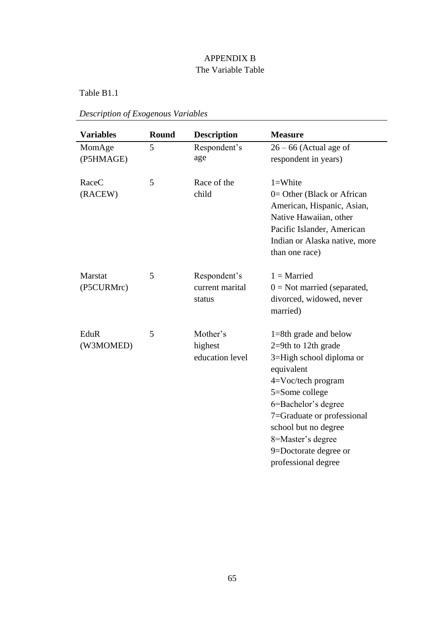## APPENDIX B The Variable Table

Table B1.1

|  |  | Description of Exogenous Variables |  |
|--|--|------------------------------------|--|
|--|--|------------------------------------|--|

| <b>Variables</b>      | <b>Round</b> | <b>Description</b>                        | <b>Measure</b>                                                                                                                                                                                                                                                                          |
|-----------------------|--------------|-------------------------------------------|-----------------------------------------------------------------------------------------------------------------------------------------------------------------------------------------------------------------------------------------------------------------------------------------|
| MomAge<br>(P5HMAGE)   | 5            | Respondent's<br>age                       | $26 - 66$ (Actual age of<br>respondent in years)                                                                                                                                                                                                                                        |
| RaceC<br>(RACEW)      | 5            | Race of the<br>child                      | $1 = White$<br>$0=$ Other (Black or African<br>American, Hispanic, Asian,<br>Native Hawaiian, other<br>Pacific Islander, American<br>Indian or Alaska native, more<br>than one race)                                                                                                    |
| Marstat<br>(P5CURMrc) | 5            | Respondent's<br>current marital<br>status | $1 =$ Married<br>$0 = Not married$ (separated,<br>divorced, widowed, never<br>married)                                                                                                                                                                                                  |
| EduR<br>(W3MOMED)     | 5            | Mother's<br>highest<br>education level    | $1=8$ th grade and below<br>$2=9th$ to 12th grade<br>3=High school diploma or<br>equivalent<br>$4=Voc/tech$ program<br>5=Some college<br>6=Bachelor's degree<br>7=Graduate or professional<br>school but no degree<br>8=Master's degree<br>9=Doctorate degree or<br>professional degree |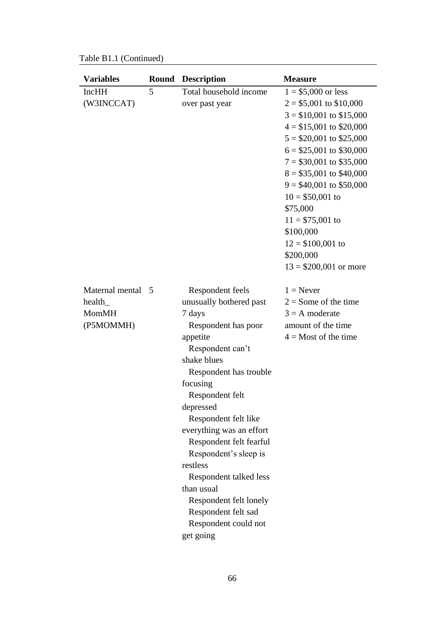Table B1.1 (Continued)

| <b>Variables</b>                                         |   | <b>Round Description</b>                                                                                                                                                                                                                                                                                                                                                                                                                            | <b>Measure</b>                                                                                                                                                                                                                                                                                                                                                                               |
|----------------------------------------------------------|---|-----------------------------------------------------------------------------------------------------------------------------------------------------------------------------------------------------------------------------------------------------------------------------------------------------------------------------------------------------------------------------------------------------------------------------------------------------|----------------------------------------------------------------------------------------------------------------------------------------------------------------------------------------------------------------------------------------------------------------------------------------------------------------------------------------------------------------------------------------------|
| <b>IncHH</b><br>(W3INCCAT)                               | 5 | Total household income<br>over past year                                                                                                                                                                                                                                                                                                                                                                                                            | $1 = $5,000$ or less<br>$2 = $5,001$ to \$10,000<br>$3 = $10,001$ to \$15,000<br>$4 = $15,001$ to \$20,000<br>$5 = $20,001$ to \$25,000<br>$6 = $25,001$ to \$30,000<br>$7 = $30,001$ to \$35,000<br>$8 = $35,001$ to \$40,000<br>$9 = $40,001$ to \$50,000<br>$10 = $50,001$ to<br>\$75,000<br>$11 = $75,001$ to<br>\$100,000<br>$12 = $100,001$ to<br>\$200,000<br>$13 = $200,001$ or more |
| Maternal mental 5<br>health<br><b>MomMH</b><br>(P5MOMMH) |   | Respondent feels<br>unusually bothered past<br>7 days<br>Respondent has poor<br>appetite<br>Respondent can't<br>shake blues<br>Respondent has trouble<br>focusing<br>Respondent felt<br>depressed<br>Respondent felt like<br>everything was an effort<br>Respondent felt fearful<br>Respondent's sleep is<br>restless<br>Respondent talked less<br>than usual<br>Respondent felt lonely<br>Respondent felt sad<br>Respondent could not<br>get going | $1 =$ Never<br>$2 =$ Some of the time<br>$3 = A$ moderate<br>amount of the time<br>$4 =$ Most of the time                                                                                                                                                                                                                                                                                    |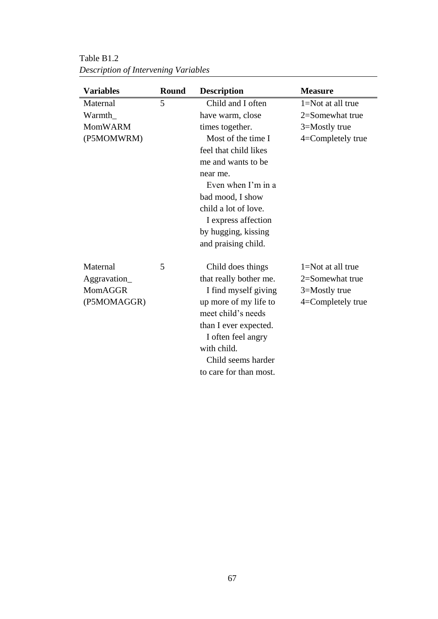| <b>Variables</b> | <b>Round</b> | <b>Description</b>        | <b>Measure</b>        |  |
|------------------|--------------|---------------------------|-----------------------|--|
| Maternal         | 5            | Child and I often         | $1 = Not$ at all true |  |
| Warmth           |              | have warm, close          | 2=Somewhat true       |  |
| <b>MomWARM</b>   |              | times together.           | 3=Mostly true         |  |
| (P5MOMWRM)       |              | Most of the time I        | 4=Completely true     |  |
|                  |              | feel that child likes     |                       |  |
|                  |              | me and wants to be        |                       |  |
|                  |              | near me.                  |                       |  |
|                  |              | Even when $\Gamma$ m in a |                       |  |
|                  |              | bad mood, I show          |                       |  |
|                  |              | child a lot of love.      |                       |  |
|                  |              | I express affection       |                       |  |
|                  |              | by hugging, kissing       |                       |  |
|                  |              | and praising child.       |                       |  |
| Maternal         | 5            | Child does things         | 1=Not at all true     |  |
| Aggravation      |              | that really bother me.    | 2=Somewhat true       |  |
| MomAGGR          |              | I find myself giving      | 3=Mostly true         |  |
| (P5MOMAGGR)      |              | up more of my life to     | 4=Completely true     |  |
|                  |              | meet child's needs        |                       |  |
|                  |              | than I ever expected.     |                       |  |
|                  |              | I often feel angry        |                       |  |
|                  |              | with child.               |                       |  |
|                  |              | Child seems harder        |                       |  |
|                  |              | to care for than most.    |                       |  |

Table B1.2 *Description of Intervening Variables*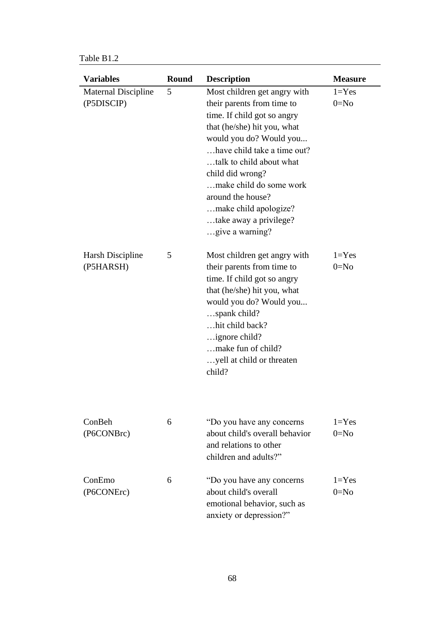Table B1.2

| <b>Variables</b>                         | <b>Round</b> | <b>Description</b>                                                                                                                                                                                                                                                                                                                                       | <b>Measure</b>        |
|------------------------------------------|--------------|----------------------------------------------------------------------------------------------------------------------------------------------------------------------------------------------------------------------------------------------------------------------------------------------------------------------------------------------------------|-----------------------|
| <b>Maternal Discipline</b><br>(P5DISCIP) | 5            | Most children get angry with<br>their parents from time to<br>time. If child got so angry<br>that (he/she) hit you, what<br>would you do? Would you<br>have child take a time out?<br>talk to child about what<br>child did wrong?<br>make child do some work<br>around the house?<br>make child apologize?<br>take away a privilege?<br>give a warning? | $1 = Yes$<br>$0 = No$ |
| <b>Harsh Discipline</b><br>(P5HARSH)     | 5            | Most children get angry with<br>their parents from time to<br>time. If child got so angry<br>that (he/she) hit you, what<br>would you do? Would you<br>spank child?<br>hit child back?<br>ignore child?<br>make fun of child?<br>yell at child or threaten<br>child?                                                                                     | $1 = Yes$<br>$0=N0$   |
| ConBeh<br>(P6CONBrc)                     | 6            | "Do you have any concerns"<br>about child's overall behavior<br>and relations to other<br>children and adults?"                                                                                                                                                                                                                                          | $1 = Yes$<br>$0 = No$ |
| ConEmo<br>(P6CONErc)                     | 6            | "Do you have any concerns"<br>about child's overall<br>emotional behavior, such as<br>anxiety or depression?"                                                                                                                                                                                                                                            | $1 = Yes$<br>$0=N0$   |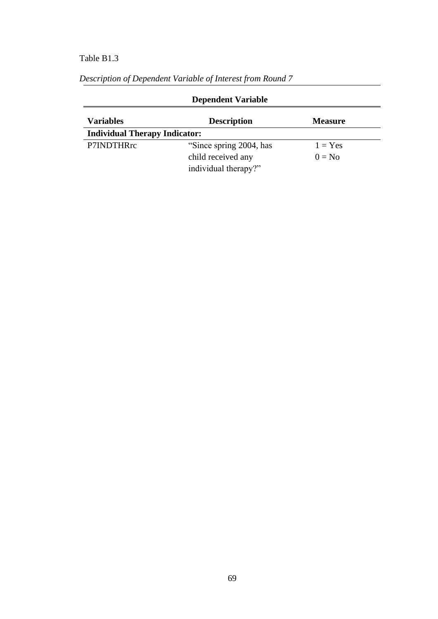## Table B1.3

| <b>Dependent Variable</b>            |                         |                |  |  |
|--------------------------------------|-------------------------|----------------|--|--|
| <b>Variables</b>                     | <b>Description</b>      | <b>Measure</b> |  |  |
| <b>Individual Therapy Indicator:</b> |                         |                |  |  |
| P7INDTHRrc                           | "Since spring 2004, has | $1 = Yes$      |  |  |
|                                      | child received any      | $0 = No$       |  |  |
|                                      | individual therapy?"    |                |  |  |

*Description of Dependent Variable of Interest from Round 7*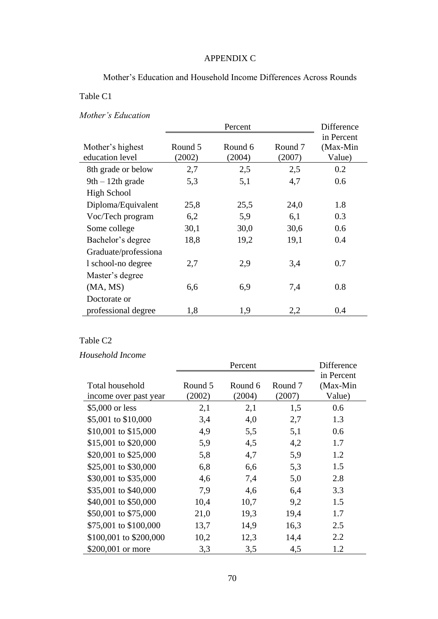#### APPENDIX C

Mother's Education and Household Income Differences Across Rounds

#### Table C1

### *Mother's Education*

|                                     |                   | Difference        |                              |                                  |
|-------------------------------------|-------------------|-------------------|------------------------------|----------------------------------|
| Mother's highest<br>education level | Round 5<br>(2002) | Round 6<br>(2004) | Round <sub>7</sub><br>(2007) | in Percent<br>(Max-Min<br>Value) |
| 8th grade or below                  | 2,7               | 2,5               | 2,5                          | 0.2                              |
| $9th - 12th$ grade                  | 5,3               | 5,1               | 4,7                          | 0.6                              |
| High School                         |                   |                   |                              |                                  |
| Diploma/Equivalent                  | 25,8              | 25,5              | 24,0                         | 1.8                              |
| Voc/Tech program                    | 6,2               | 5,9               | 6,1                          | 0.3                              |
| Some college                        | 30,1              | 30,0              | 30,6                         | 0.6                              |
| Bachelor's degree                   | 18,8              | 19,2              | 19,1                         | 0.4                              |
| Graduate/professiona                |                   |                   |                              |                                  |
| 1 school-no degree                  | 2,7               | 2,9               | 3,4                          | 0.7                              |
| Master's degree                     |                   |                   |                              |                                  |
| (MA, MS)                            | 6,6               | 6,9               | 7,4                          | 0.8                              |
| Doctorate or                        |                   |                   |                              |                                  |
| professional degree                 | 1,8               | 1,9               | 2,2                          | 0.4                              |

#### Table C2

### *Household Income*

|                                          | Percent           |                   |                   | Difference                       |  |
|------------------------------------------|-------------------|-------------------|-------------------|----------------------------------|--|
| Total household<br>income over past year | Round 5<br>(2002) | Round 6<br>(2004) | Round 7<br>(2007) | in Percent<br>(Max-Min<br>Value) |  |
| \$5,000 or less                          | 2,1               | 2,1               | 1,5               | 0.6                              |  |
| \$5,001 to \$10,000                      | 3,4               | 4,0               | 2,7               | 1.3                              |  |
| \$10,001 to \$15,000                     | 4,9               | 5,5               | 5,1               | 0.6                              |  |
| \$15,001 to \$20,000                     | 5,9               | 4,5               | 4,2               | 1.7                              |  |
| \$20,001 to \$25,000                     | 5,8               | 4,7               | 5,9               | 1.2                              |  |
| \$25,001 to \$30,000                     | 6,8               | 6,6               | 5,3               | 1.5                              |  |
| \$30,001 to \$35,000                     | 4,6               | 7,4               | 5,0               | 2.8                              |  |
| \$35,001 to \$40,000                     | 7,9               | 4,6               | 6,4               | 3.3                              |  |
| \$40,001 to \$50,000                     | 10,4              | 10,7              | 9,2               | 1.5                              |  |
| \$50,001 to \$75,000                     | 21,0              | 19,3              | 19,4              | 1.7                              |  |
| \$75,001 to \$100,000                    | 13,7              | 14,9              | 16,3              | 2.5                              |  |
| \$100,001 to \$200,000                   | 10,2              | 12,3              | 14,4              | 2.2                              |  |
| \$200,001 or more                        | 3,3               | 3,5               | 4,5               | 1.2                              |  |